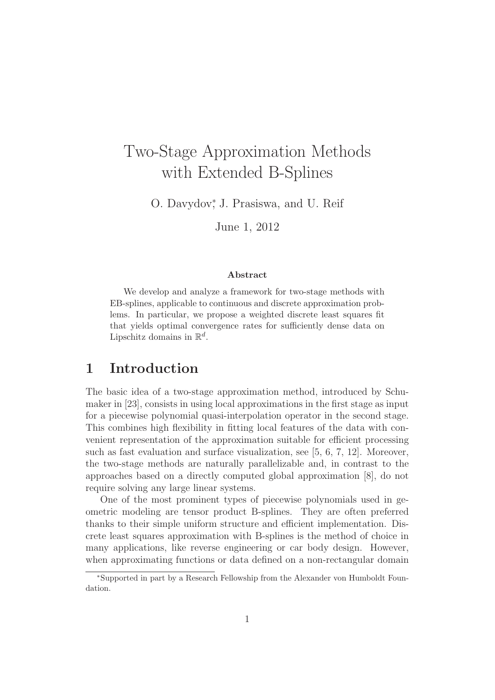# Two-Stage Approximation Methods with Extended B-Splines

O. Davydov<sup>∗</sup> , J. Prasiswa, and U. Reif

June 1, 2012

#### Abstract

We develop and analyze a framework for two-stage methods with EB-splines, applicable to continuous and discrete approximation problems. In particular, we propose a weighted discrete least squares fit that yields optimal convergence rates for sufficiently dense data on Lipschitz domains in  $\mathbb{R}^d$ .

### 1 Introduction

The basic idea of a two-stage approximation method, introduced by Schumaker in [23], consists in using local approximations in the first stage as input for a piecewise polynomial quasi-interpolation operator in the second stage. This combines high flexibility in fitting local features of the data with convenient representation of the approximation suitable for efficient processing such as fast evaluation and surface visualization, see [5, 6, 7, 12]. Moreover, the two-stage methods are naturally parallelizable and, in contrast to the approaches based on a directly computed global approximation [8], do not require solving any large linear systems.

One of the most prominent types of piecewise polynomials used in geometric modeling are tensor product B-splines. They are often preferred thanks to their simple uniform structure and efficient implementation. Discrete least squares approximation with B-splines is the method of choice in many applications, like reverse engineering or car body design. However, when approximating functions or data defined on a non-rectangular domain

<sup>∗</sup>Supported in part by a Research Fellowship from the Alexander von Humboldt Foundation.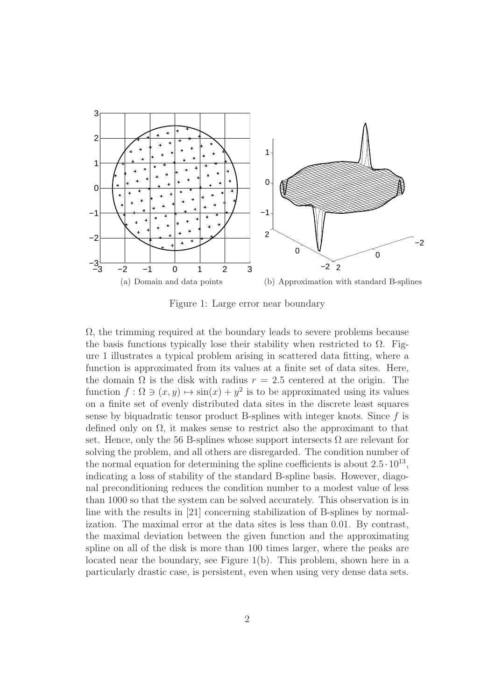

Figure 1: Large error near boundary

 $\Omega$ , the trimming required at the boundary leads to severe problems because the basis functions typically lose their stability when restricted to  $\Omega$ . Figure 1 illustrates a typical problem arising in scattered data fitting, where a function is approximated from its values at a finite set of data sites. Here, the domain  $\Omega$  is the disk with radius  $r = 2.5$  centered at the origin. The function  $f : \Omega \ni (x, y) \mapsto \sin(x) + y^2$  is to be approximated using its values on a finite set of evenly distributed data sites in the discrete least squares sense by biquadratic tensor product B-splines with integer knots. Since  $f$  is defined only on  $\Omega$ , it makes sense to restrict also the approximant to that set. Hence, only the 56 B-splines whose support intersects  $\Omega$  are relevant for solving the problem, and all others are disregarded. The condition number of the normal equation for determining the spline coefficients is about  $2.5 \cdot 10^{13}$ , indicating a loss of stability of the standard B-spline basis. However, diagonal preconditioning reduces the condition number to a modest value of less than 1000 so that the system can be solved accurately. This observation is in line with the results in [21] concerning stabilization of B-splines by normalization. The maximal error at the data sites is less than 0.01. By contrast, the maximal deviation between the given function and the approximating spline on all of the disk is more than 100 times larger, where the peaks are located near the boundary, see Figure 1(b). This problem, shown here in a particularly drastic case, is persistent, even when using very dense data sets.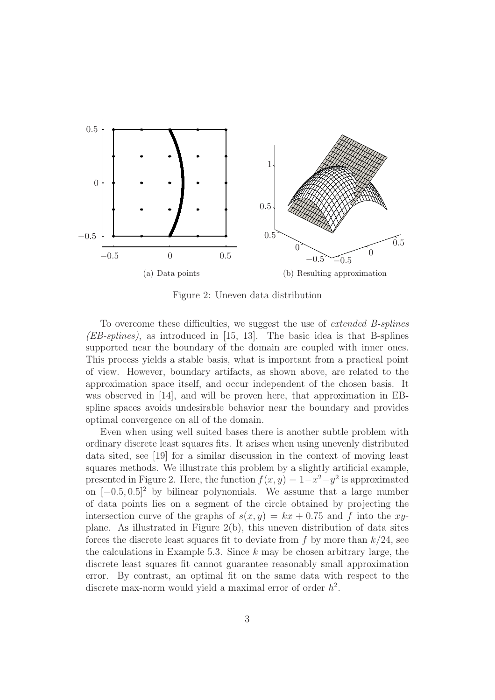

Figure 2: Uneven data distribution

To overcome these difficulties, we suggest the use of extended B-splines (EB-splines), as introduced in [15, 13]. The basic idea is that B-splines supported near the boundary of the domain are coupled with inner ones. This process yields a stable basis, what is important from a practical point of view. However, boundary artifacts, as shown above, are related to the approximation space itself, and occur independent of the chosen basis. It was observed in [14], and will be proven here, that approximation in EBspline spaces avoids undesirable behavior near the boundary and provides optimal convergence on all of the domain.

Even when using well suited bases there is another subtle problem with ordinary discrete least squares fits. It arises when using unevenly distributed data sited, see [19] for a similar discussion in the context of moving least squares methods. We illustrate this problem by a slightly artificial example, presented in Figure 2. Here, the function  $f(x, y) = 1 - x^2 - y^2$  is approximated on  $[-0.5, 0.5]^2$  by bilinear polynomials. We assume that a large number of data points lies on a segment of the circle obtained by projecting the intersection curve of the graphs of  $s(x, y) = kx + 0.75$  and f into the xyplane. As illustrated in Figure 2(b), this uneven distribution of data sites forces the discrete least squares fit to deviate from  $f$  by more than  $k/24$ , see the calculations in Example 5.3. Since  $k$  may be chosen arbitrary large, the discrete least squares fit cannot guarantee reasonably small approximation error. By contrast, an optimal fit on the same data with respect to the discrete max-norm would yield a maximal error of order  $h^2$ .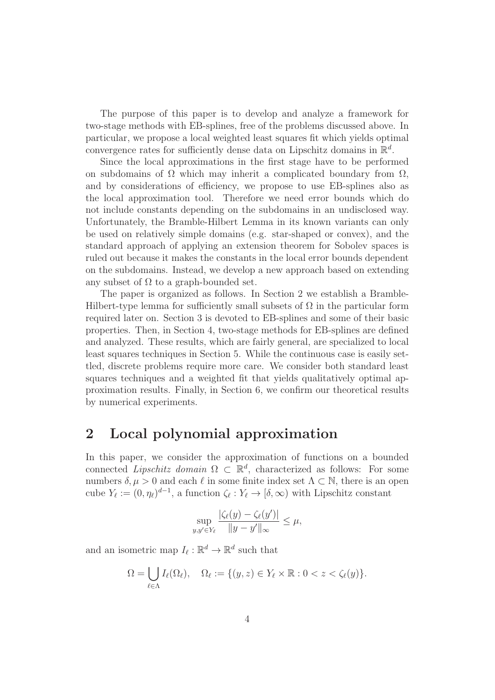The purpose of this paper is to develop and analyze a framework for two-stage methods with EB-splines, free of the problems discussed above. In particular, we propose a local weighted least squares fit which yields optimal convergence rates for sufficiently dense data on Lipschitz domains in  $\mathbb{R}^d$ .

Since the local approximations in the first stage have to be performed on subdomains of  $\Omega$  which may inherit a complicated boundary from  $\Omega$ , and by considerations of efficiency, we propose to use EB-splines also as the local approximation tool. Therefore we need error bounds which do not include constants depending on the subdomains in an undisclosed way. Unfortunately, the Bramble-Hilbert Lemma in its known variants can only be used on relatively simple domains (e.g. star-shaped or convex), and the standard approach of applying an extension theorem for Sobolev spaces is ruled out because it makes the constants in the local error bounds dependent on the subdomains. Instead, we develop a new approach based on extending any subset of  $\Omega$  to a graph-bounded set.

The paper is organized as follows. In Section 2 we establish a Bramble-Hilbert-type lemma for sufficiently small subsets of  $\Omega$  in the particular form required later on. Section 3 is devoted to EB-splines and some of their basic properties. Then, in Section 4, two-stage methods for EB-splines are defined and analyzed. These results, which are fairly general, are specialized to local least squares techniques in Section 5. While the continuous case is easily settled, discrete problems require more care. We consider both standard least squares techniques and a weighted fit that yields qualitatively optimal approximation results. Finally, in Section 6, we confirm our theoretical results by numerical experiments.

## 2 Local polynomial approximation

In this paper, we consider the approximation of functions on a bounded connected *Lipschitz domain*  $\Omega \subset \mathbb{R}^d$ , characterized as follows: For some numbers  $\delta, \mu > 0$  and each  $\ell$  in some finite index set  $\Lambda \subset \mathbb{N}$ , there is an open cube  $Y_{\ell} := (0, \eta_{\ell})^{d-1}$ , a function  $\zeta_{\ell} : Y_{\ell} \to [\delta, \infty)$  with Lipschitz constant

$$
\sup_{y,y'\in Y_{\ell}}\frac{|\zeta_{\ell}(y)-\zeta_{\ell}(y')|}{\|y-y'\|_{\infty}}\leq \mu,
$$

and an isometric map  $I_{\ell} : \mathbb{R}^d \to \mathbb{R}^d$  such that

$$
\Omega = \bigcup_{\ell \in \Lambda} I_{\ell}(\Omega_{\ell}), \quad \Omega_{\ell} := \{ (y, z) \in Y_{\ell} \times \mathbb{R} : 0 < z < \zeta_{\ell}(y) \}.
$$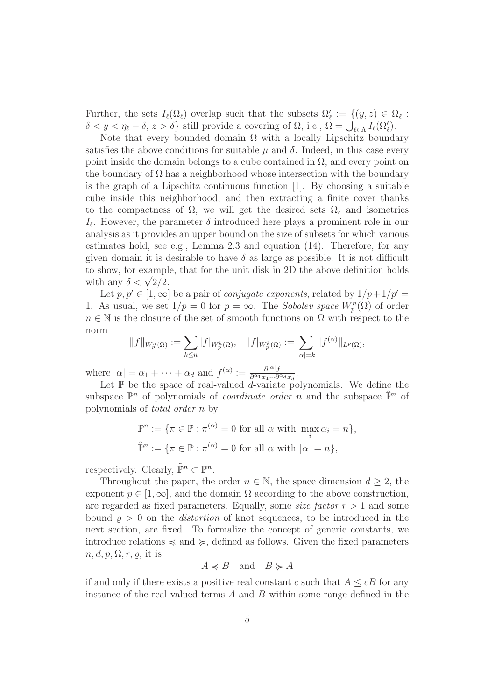Further, the sets  $I_{\ell}(\Omega_{\ell})$  overlap such that the subsets  $\Omega_{\ell}' := \{(y, z) \in \Omega_{\ell} :$  $\delta < y < \eta_{\ell} - \delta, z > \delta$  still provide a covering of  $\Omega$ , i.e.,  $\Omega = \bigcup_{\ell \in \Lambda} I_{\ell}(\Omega_{\ell}')$ .

Note that every bounded domain  $\Omega$  with a locally Lipschitz boundary satisfies the above conditions for suitable  $\mu$  and  $\delta$ . Indeed, in this case every point inside the domain belongs to a cube contained in  $\Omega$ , and every point on the boundary of  $\Omega$  has a neighborhood whose intersection with the boundary is the graph of a Lipschitz continuous function [1]. By choosing a suitable cube inside this neighborhood, and then extracting a finite cover thanks to the compactness of  $\overline{\Omega}$ , we will get the desired sets  $\Omega_{\ell}$  and isometries  $I_{\ell}$ . However, the parameter  $\delta$  introduced here plays a prominent role in our analysis as it provides an upper bound on the size of subsets for which various estimates hold, see e.g., Lemma 2.3 and equation (14). Therefore, for any given domain it is desirable to have  $\delta$  as large as possible. It is not difficult to show, for example, that for the unit disk in 2D the above definition holds with any  $\delta < \sqrt{2}/2$ .

Let  $p, p' \in [1, \infty]$  be a pair of *conjugate exponents*, related by  $1/p+1/p' =$ 1. As usual, we set  $1/p = 0$  for  $p = \infty$ . The *Sobolev space*  $W_p^n(\Omega)$  of order  $n \in \mathbb{N}$  is the closure of the set of smooth functions on  $\Omega$  with respect to the norm

$$
||f||_{W_p^n(\Omega)} := \sum_{k \le n} |f|_{W_p^k(\Omega)}, \quad |f|_{W_p^k(\Omega)} := \sum_{|\alpha|=k} ||f^{(\alpha)}||_{L^p(\Omega)},
$$

where  $|\alpha| = \alpha_1 + \cdots + \alpha_d$  and  $f^{(\alpha)} := \frac{\partial^{|\alpha|} f}{\partial^{\alpha_1} x_1 \cdots \partial^{\alpha_d}}$  $\frac{\partial^{|\alpha|} f}{\partial^{\alpha_1} x_1 \cdots \partial^{\alpha_d} x_d}.$ 

Let  $\mathbb P$  be the space of real-valued d-variate polynomials. We define the subspace  $\mathbb{P}^n$  of polynomials of *coordinate order* n and the subspace  $\tilde{\mathbb{P}}^n$  of polynomials of total order n by

$$
\mathbb{P}^n := \{ \pi \in \mathbb{P} : \pi^{(\alpha)} = 0 \text{ for all } \alpha \text{ with } \max_i \alpha_i = n \},
$$
  

$$
\tilde{\mathbb{P}}^n := \{ \pi \in \mathbb{P} : \pi^{(\alpha)} = 0 \text{ for all } \alpha \text{ with } |\alpha| = n \},
$$

respectively. Clearly,  $\tilde{\mathbb{P}}^n \subset \mathbb{P}^n$ .

Throughout the paper, the order  $n \in \mathbb{N}$ , the space dimension  $d \geq 2$ , the exponent  $p \in [1,\infty]$ , and the domain  $\Omega$  according to the above construction, are regarded as fixed parameters. Equally, some *size factor*  $r > 1$  and some bound  $\rho > 0$  on the *distortion* of knot sequences, to be introduced in the next section, are fixed. To formalize the concept of generic constants, we introduce relations  $\preccurlyeq$  and  $\succcurlyeq$ , defined as follows. Given the fixed parameters  $n, d, p, \Omega, r, \rho$ , it is

$$
A \preccurlyeq B \quad \text{and} \quad B \succcurlyeq A
$$

if and only if there exists a positive real constant c such that  $A \leq cB$  for any instance of the real-valued terms  $A$  and  $B$  within some range defined in the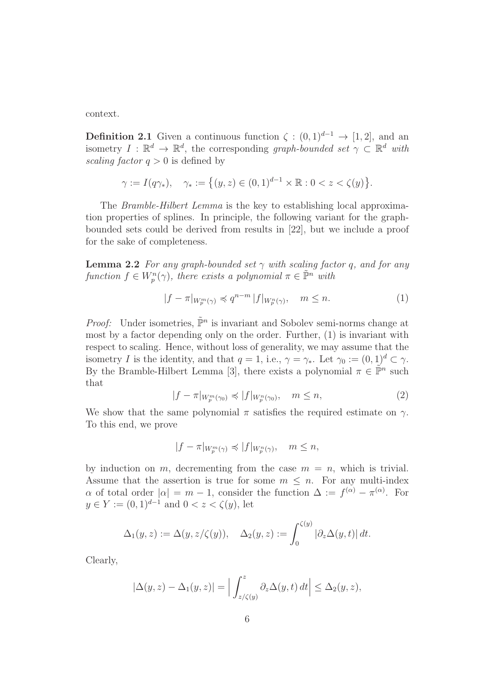context.

**Definition 2.1** Given a continuous function  $\zeta$  :  $(0, 1)^{d-1} \rightarrow [1, 2]$ , and an isometry  $I : \mathbb{R}^d \to \mathbb{R}^d$ , the corresponding graph-bounded set  $\gamma \subset \mathbb{R}^d$  with scaling factor  $q > 0$  is defined by

$$
\gamma := I(q\gamma_*)
$$
,  $\gamma_* := \{(y, z) \in (0, 1)^{d-1} \times \mathbb{R} : 0 < z < \zeta(y)\}.$ 

The *Bramble-Hilbert Lemma* is the key to establishing local approximation properties of splines. In principle, the following variant for the graphbounded sets could be derived from results in [22], but we include a proof for the sake of completeness.

**Lemma 2.2** For any graph-bounded set  $\gamma$  with scaling factor q, and for any function  $f \in W_p^n(\gamma)$ , there exists a polynomial  $\pi \in \tilde{\mathbb{P}}^n$  with

$$
|f - \pi|_{W_p^m(\gamma)} \preccurlyeq q^{n-m} |f|_{W_p^n(\gamma)}, \quad m \le n. \tag{1}
$$

*Proof:* Under isometries,  $\tilde{\mathbb{P}}^n$  is invariant and Sobolev semi-norms change at most by a factor depending only on the order. Further, (1) is invariant with respect to scaling. Hence, without loss of generality, we may assume that the isometry I is the identity, and that  $q = 1$ , i.e.,  $\gamma = \gamma_*$ . Let  $\gamma_0 := (0, 1)^d \subset \gamma$ . By the Bramble-Hilbert Lemma [3], there exists a polynomial  $\pi \in \tilde{\mathbb{P}}^n$  such that

$$
|f - \pi|_{W_p^m(\gamma_0)} \preccurlyeq |f|_{W_p^n(\gamma_0)}, \quad m \le n,\tag{2}
$$

We show that the same polynomial  $\pi$  satisfies the required estimate on  $\gamma$ . To this end, we prove

$$
|f - \pi|_{W_p^m(\gamma)} \preccurlyeq |f|_{W_p^n(\gamma)}, \quad m \le n,
$$

by induction on m, decrementing from the case  $m = n$ , which is trivial. Assume that the assertion is true for some  $m \leq n$ . For any multi-index  $\alpha$  of total order  $|\alpha| = m - 1$ , consider the function  $\Delta := f^{(\alpha)} - \pi^{(\alpha)}$ . For  $y \in Y := (0, 1)^{d-1}$  and  $0 < z < \zeta(y)$ , let

$$
\Delta_1(y,z) := \Delta(y,z/\zeta(y)), \quad \Delta_2(y,z) := \int_0^{\zeta(y)} |\partial_z \Delta(y,t)| dt.
$$

Clearly,

$$
|\Delta(y, z) - \Delta_1(y, z)| = \Big| \int_{z/\zeta(y)}^z \partial_z \Delta(y, t) dt \Big| \leq \Delta_2(y, z),
$$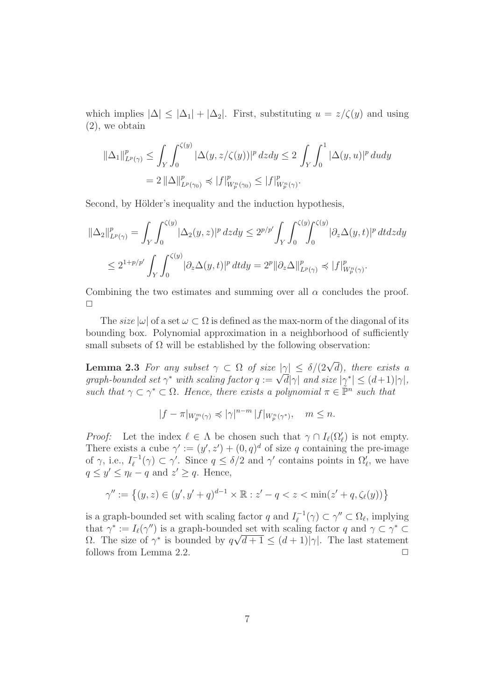which implies  $|\Delta| \leq |\Delta_1| + |\Delta_2|$ . First, substituting  $u = z/\zeta(y)$  and using (2), we obtain

$$
\|\Delta_1\|_{L^p(\gamma)}^p \le \int_Y \int_0^{\zeta(y)} |\Delta(y, z/\zeta(y))|^p \, dz dy \le 2 \int_Y \int_0^1 |\Delta(y, u)|^p \, du dy
$$
  
=  $2 \|\Delta\|_{L^p(\gamma_0)}^p \preccurlyeq |f|_{W_p^n(\gamma_0)}^p \le |f|_{W_p^n(\gamma)}^p.$ 

Second, by Hölder's inequality and the induction hypothesis,

$$
\|\Delta_2\|_{L^p(\gamma)}^p = \int_Y \int_0^{\zeta(y)} |\Delta_2(y, z)|^p dz dy \le 2^{p/p'} \int_Y \int_0^{\zeta(y)} \int_0^{\zeta(y)} |\partial_z \Delta(y, t)|^p dt dz dy
$$
  

$$
\le 2^{1+p/p'} \int_Y \int_0^{\zeta(y)} |\partial_z \Delta(y, t)|^p dt dy = 2^p \|\partial_z \Delta\|_{L^p(\gamma)}^p \preccurlyeq |f|_{W_p^n(\gamma)}^p.
$$

Combining the two estimates and summing over all  $\alpha$  concludes the proof.  $\Box$ 

The size  $|\omega|$  of a set  $\omega \subset \Omega$  is defined as the max-norm of the diagonal of its bounding box. Polynomial approximation in a neighborhood of sufficiently small subsets of  $\Omega$  will be established by the following observation:

**Lemma 2.3** For any subset  $\gamma \subset \Omega$  of size  $|\gamma| \leq \delta/(2\sqrt{d})$ , there exists a graph-bounded set  $\gamma^*$  with scaling factor  $q := \sqrt{d} |\gamma|$  and size  $|\gamma^*| \leq (d+1)|\gamma|$ , such that  $\gamma \subset \gamma^* \subset \Omega$ . Hence, there exists a polynomial  $\pi \in \tilde{\mathbb{P}}^n$  such that

$$
|f-\pi|_{W^m_p(\gamma)}\preccurlyeq |\gamma|^{n-m} |f|_{W^n_p(\gamma^*)},\quad m\leq n.
$$

*Proof:* Let the index  $\ell \in \Lambda$  be chosen such that  $\gamma \cap I_{\ell}(\Omega_{\ell}')$  is not empty. There exists a cube  $\gamma' := (y', z') + (0, q)^d$  of size q containing the pre-image of  $\gamma$ , i.e.,  $I_{\ell}^{-1}$  $\zeta_{\ell}^{-1}(\gamma) \subset \gamma'$ . Since  $q \leq \delta/2$  and  $\gamma'$  contains points in  $\Omega'_{\ell}$ , we have  $q \leq y' \leq \eta_{\ell} - q$  and  $z' \geq q$ . Hence,

$$
\gamma'' := \left\{ (y, z) \in (y', y' + q)^{d-1} \times \mathbb{R} : z' - q < z < \min(z' + q, \zeta_{\ell}(y)) \right\}
$$

is a graph-bounded set with scaling factor q and  $I_{\ell}^{-1}$  $\mathcal{L}_{\ell}^{-1}(\gamma) \subset \gamma'' \subset \Omega_{\ell}$ , implying that  $\gamma^* := I_{\ell}(\gamma'')$  is a graph-bounded set with scaling factor q and  $\gamma \subset \gamma^* \subset$  $Ω$ . The size of  $γ^*$  is bounded by  $q√d+1 ≤ (d+1)|γ|$ . The last statement follows from Lemma 2.2.  $\Box$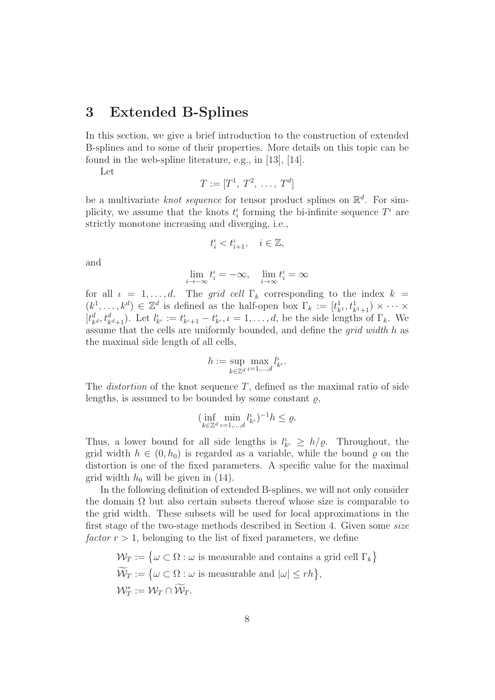### 3 Extended B-Splines

In this section, we give a brief introduction to the construction of extended B-splines and to some of their properties. More details on this topic can be found in the web-spline literature, e.g., in [13], [14].

Let

$$
T:=[T^1, T^2, \ldots, T^d]
$$

be a multivariate *knot sequence* for tensor product splines on  $\mathbb{R}^d$ . For simplicity, we assume that the knots  $t_i^{\iota}$  forming the bi-infinite sequence  $T^{\iota}$  are strictly monotone increasing and diverging, i.e.,

$$
t_i^{\iota} < t_{i+1}^{\iota}, \quad i \in \mathbb{Z},
$$

and

$$
\lim_{i \to -\infty} t_i' = -\infty, \quad \lim_{i \to \infty} t_i' = \infty
$$

for all  $\iota = 1, \ldots, d$ . The grid cell  $\Gamma_k$  corresponding to the index  $k =$  $(k^1, \ldots, k^d) \in \mathbb{Z}^d$  is defined as the half-open box  $\Gamma_k := [t^1_k]$  $_{k_1}^{1}, t_{k_1+1}^1 \times \cdots \times$  $[t_k^d]$  $t_{k}^{d}$ ,  $t_{k}^{d}$ <sub>t+1</sub>). Let  $l_{k}^{i}$  :=  $t_{k+1}^{i}$  -  $t_{k}^{i}$ ,  $i = 1, ..., d$ , be the side lengths of  $\Gamma_{k}$ . We assume that the cells are uniformly bounded, and define the grid width h as the maximal side length of all cells,

$$
h := \sup_{k \in \mathbb{Z}^d} \max_{\iota = 1, \dots, d} l_{k^{\iota}}^{\iota}.
$$

The *distortion* of the knot sequence  $T$ , defined as the maximal ratio of side lengths, is assumed to be bounded by some constant  $\rho$ ,

$$
(\inf_{k\in\mathbb{Z}^d}\min_{\iota=1,\dots,d}l_{k^{\iota}}^{\iota})^{-1}h\leq\varrho.
$$

Thus, a lower bound for all side lengths is  $l'_{k'} \geq h/\varrho$ . Throughout, the grid width  $h \in (0, h_0)$  is regarded as a variable, while the bound  $\rho$  on the distortion is one of the fixed parameters. A specific value for the maximal grid width  $h_0$  will be given in (14).

In the following definition of extended B-splines, we will not only consider the domain  $\Omega$  but also certain subsets thereof whose size is comparable to the grid width. These subsets will be used for local approximations in the first stage of the two-stage methods described in Section 4. Given some size factor  $r > 1$ , belonging to the list of fixed parameters, we define

$$
\mathcal{W}_T := \{ \omega \subset \Omega : \omega \text{ is measurable and contains a grid cell } \Gamma_k \}
$$
  

$$
\widetilde{\mathcal{W}}_T := \{ \omega \subset \Omega : \omega \text{ is measurable and } |\omega| \le rh \},
$$
  

$$
\mathcal{W}_T^* := \mathcal{W}_T \cap \widetilde{\mathcal{W}}_T.
$$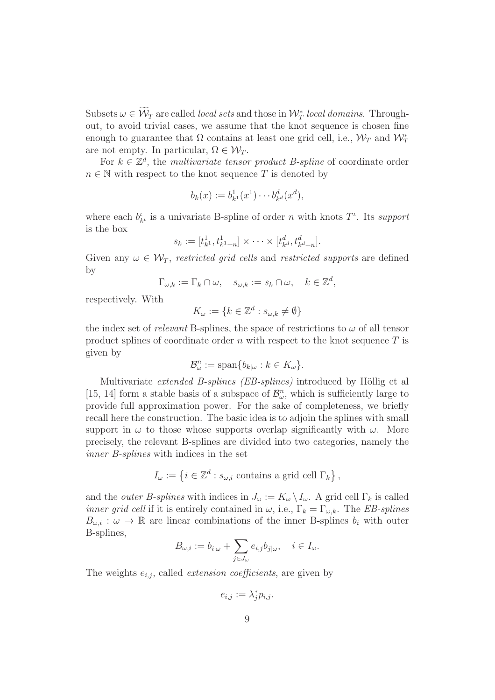Subsets  $\omega \in \mathcal{W}_T$  are called *local sets* and those in  $\mathcal{W}_T^*$  *local domains.* Throughout, to avoid trivial cases, we assume that the knot sequence is chosen fine enough to guarantee that  $\Omega$  contains at least one grid cell, i.e.,  $\mathcal{W}_T$  and  $\mathcal{W}_T^*$ are not empty. In particular,  $\Omega \in \mathcal{W}_T$ .

For  $k \in \mathbb{Z}^d$ , the multivariate tensor product B-spline of coordinate order  $n \in \mathbb{N}$  with respect to the knot sequence T is denoted by

$$
b_k(x) := b_{k^1}^1(x^1) \cdots b_{k^d}^d(x^d),
$$

where each  $b_{k'}^{\iota}$  is a univariate B-spline of order *n* with knots  $T^{\iota}$ . Its support is the box

$$
s_k := [t_{k^1}^1, t_{k^1+n}^1] \times \cdots \times [t_{k^d}^d, t_{k^d+n}^d].
$$

Given any  $\omega \in \mathcal{W}_T$ , restricted grid cells and restricted supports are defined by

$$
\Gamma_{\omega,k} := \Gamma_k \cap \omega, \quad s_{\omega,k} := s_k \cap \omega, \quad k \in \mathbb{Z}^d,
$$

respectively. With

$$
K_{\omega} := \{ k \in \mathbb{Z}^d : s_{\omega, k} \neq \emptyset \}
$$

the index set of relevant B-splines, the space of restrictions to  $\omega$  of all tensor product splines of coordinate order  $n$  with respect to the knot sequence  $T$  is given by

$$
\mathcal{B}_{\omega}^n := \text{span}\{b_{k|\omega} : k \in K_{\omega}\}.
$$

Multivariate *extended B-splines (EB-splines)* introduced by Höllig et al [15, 14] form a stable basis of a subspace of  $\mathcal{B}_{\omega}^n$ , which is sufficiently large to provide full approximation power. For the sake of completeness, we briefly recall here the construction. The basic idea is to adjoin the splines with small support in  $\omega$  to those whose supports overlap significantly with  $\omega$ . More precisely, the relevant B-splines are divided into two categories, namely the inner B-splines with indices in the set

$$
I_{\omega}:=\left\{i\in\mathbb{Z}^d: s_{\omega,i} \text{ contains a grid cell }\Gamma_k\right\},
$$

and the *outer B-splines* with indices in  $J_{\omega} := K_{\omega} \setminus I_{\omega}$ . A grid cell  $\Gamma_k$  is called *inner grid cell* if it is entirely contained in  $\omega$ , i.e.,  $\Gamma_k = \Gamma_{\omega,k}$ . The *EB-splines*  $B_{\omega,i} : \omega \to \mathbb{R}$  are linear combinations of the inner B-splines  $b_i$  with outer B-splines,

$$
B_{\omega,i}:=b_{i|\omega}+\sum_{j\in J_\omega}e_{i,j}b_{j|\omega},\quad i\in I_\omega.
$$

The weights  $e_{i,j}$ , called *extension coefficients*, are given by

$$
e_{i,j} := \lambda_j^* p_{i,j}.
$$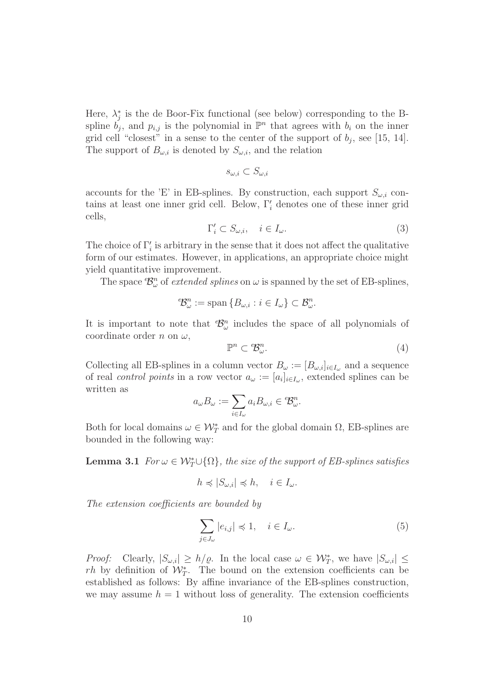Here,  $\lambda_j^*$  is the de Boor-Fix functional (see below) corresponding to the Bspline  $b_j$ , and  $p_{i,j}$  is the polynomial in  $\mathbb{P}^n$  that agrees with  $b_i$  on the inner grid cell "closest" in a sense to the center of the support of  $b_j$ , see [15, 14]. The support of  $B_{\omega,i}$  is denoted by  $S_{\omega,i}$ , and the relation

$$
s_{\omega,i}\subset S_{\omega,i}
$$

accounts for the 'E' in EB-splines. By construction, each support  $S_{\omega,i}$  contains at least one inner grid cell. Below,  $\Gamma'_i$  denotes one of these inner grid cells,

$$
\Gamma'_i \subset S_{\omega,i}, \quad i \in I_\omega. \tag{3}
$$

The choice of  $\Gamma'_i$  is arbitrary in the sense that it does not affect the qualitative form of our estimates. However, in applications, an appropriate choice might yield quantitative improvement.

The space  $\mathcal{B}_{\omega}^n$  of *extended splines* on  $\omega$  is spanned by the set of EB-splines,

$$
{}^e\!{\mathcal{B}}^n_\omega := \text{span}\left\{B_{\omega,i} : i \in I_\omega\right\} \subset {\mathcal{B}}^n_\omega.
$$

It is important to note that  $\mathcal{B}_{\omega}^n$  includes the space of all polynomials of coordinate order n on  $\omega$ ,

$$
\mathbb{P}^n \subset \mathcal{B}_{\omega}^n. \tag{4}
$$

Collecting all EB-splines in a column vector  $B_{\omega} := [B_{\omega,i}]_{i \in I_{\omega}}$  and a sequence of real *control points* in a row vector  $a_{\omega} := [a_i]_{i \in I_{\omega}}$ , extended splines can be written as

$$
a_\omega B_\omega := \sum_{i\in I_\omega} a_i B_{\omega,i} \in {^e\!B^n_\omega}.
$$

Both for local domains  $\omega \in \mathcal{W}_T^*$  and for the global domain  $\Omega$ , EB-splines are bounded in the following way:

**Lemma 3.1** For  $\omega \in \mathcal{W}_T^* \cup \{\Omega\}$ , the size of the support of EB-splines satisfies

$$
h \preccurlyeq |S_{\omega,i}| \preccurlyeq h, \quad i \in I_{\omega}.
$$

The extension coefficients are bounded by

$$
\sum_{j \in J_{\omega}} |e_{i,j}| \preccurlyeq 1, \quad i \in I_{\omega}.\tag{5}
$$

*Proof:* Clearly,  $|S_{\omega,i}| \ge h/\varrho$ . In the local case  $\omega \in \mathcal{W}_T^*$ , we have  $|S_{\omega,i}| \le h/\varrho$ .  $rh$  by definition of  $\mathcal{W}_T^*$ . The bound on the extension coefficients can be established as follows: By affine invariance of the EB-splines construction, we may assume  $h = 1$  without loss of generality. The extension coefficients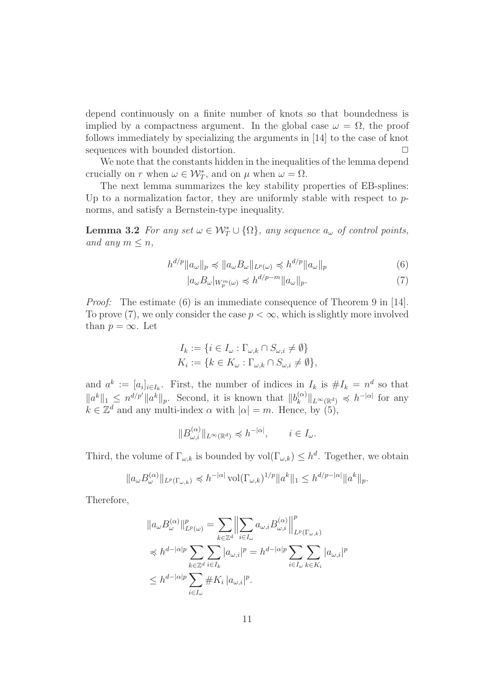depend continuously on a finite number of knots so that boundedness is implied by a compactness argument. In the global case  $\omega = \Omega$ , the proof follows immediately by specializing the arguments in [14] to the case of knot sequences with bounded distortion.  $\Box$ 

We note that the constants hidden in the inequalities of the lemma depend crucially on r when  $\omega \in \mathcal{W}_T^*$ , and on  $\mu$  when  $\omega = \Omega$ .

The next lemma summarizes the key stability properties of EB-splines: Up to a normalization factor, they are uniformly stable with respect to  $p$ norms, and satisfy a Bernstein-type inequality.

**Lemma 3.2** For any set  $\omega \in \mathcal{W}_T^* \cup \{\Omega\}$ , any sequence  $a_{\omega}$  of control points, and any  $m \leq n$ ,

$$
h^{d/p} \|a_{\omega}\|_{p} \preccurlyeq \|a_{\omega}B_{\omega}\|_{L^{p}(\omega)} \preccurlyeq h^{d/p} \|a_{\omega}\|_{p} \tag{6}
$$

$$
|a_{\omega}B_{\omega}|_{W_p^m(\omega)} \preccurlyeq h^{d/p-m} \|a_{\omega}\|_p. \tag{7}
$$

Proof: The estimate (6) is an immediate consequence of Theorem 9 in [14]. To prove (7), we only consider the case  $p < \infty$ , which is slightly more involved than  $p = \infty$ . Let

$$
I_k := \{ i \in I_{\omega} : \Gamma_{\omega,k} \cap S_{\omega,i} \neq \emptyset \}
$$
  

$$
K_i := \{ k \in K_{\omega} : \Gamma_{\omega,k} \cap S_{\omega,i} \neq \emptyset \},
$$

and  $a^k := [a_i]_{i \in I_k}$ . First, the number of indices in  $I_k$  is  $\# I_k = n^d$  so that  $||a^k||_1 \leq n^{d/p'} ||a^k||_p$ . Second, it is known that  $||b_k^{(\alpha)}||$  $\|k^{\alpha}|\|_{L^{\infty}(\mathbb{R}^d)} \preccurlyeq h^{-|\alpha|}$  for any  $k \in \mathbb{Z}^d$  and any multi-index  $\alpha$  with  $|\alpha| = m$ . Hence, by (5),

$$
||B_{\omega,i}^{(\alpha)}||_{L^{\infty}(\mathbb{R}^d)} \preccurlyeq h^{-|\alpha|}, \qquad i \in I_{\omega}.
$$

Third, the volume of  $\Gamma_{\omega,k}$  is bounded by  $\text{vol}(\Gamma_{\omega,k}) \leq h^d$ . Together, we obtain

$$
||a_{\omega}B_{\omega}^{(\alpha)}||_{L^{p}(\Gamma_{\omega,k})} \preccurlyeq h^{-|\alpha|} \operatorname{vol}(\Gamma_{\omega,k})^{1/p} ||a^{k}||_{1} \leq h^{d/p-|\alpha|} ||a^{k}||_{p}.
$$

Therefore,

$$
\|a_{\omega}B_{\omega}^{(\alpha)}\|_{L^{p}(\omega)}^{p} = \sum_{k \in \mathbb{Z}^{d}} \left\| \sum_{i \in I_{\omega}} a_{\omega,i} B_{\omega,i}^{(\alpha)} \right\|_{L^{p}(\Gamma_{\omega,k})}^{p}
$$
  

$$
\leq h^{d-|\alpha|p} \sum_{k \in \mathbb{Z}^{d}} \sum_{i \in I_{k}} |a_{\omega,i}|^{p} = h^{d-|\alpha|p} \sum_{i \in I_{\omega}} \sum_{k \in K_{i}} |a_{\omega,i}|^{p}
$$
  

$$
\leq h^{d-|\alpha|p} \sum_{i \in I_{\omega}} \#K_{i} |a_{\omega,i}|^{p}.
$$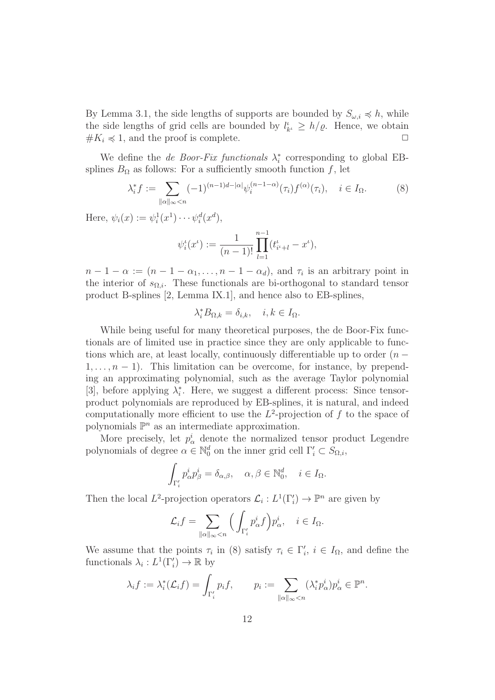By Lemma 3.1, the side lengths of supports are bounded by  $S_{\omega,i} \preccurlyeq h$ , while the side lengths of grid cells are bounded by  $l_{k'} \geq h/\varrho$ . Hence, we obtain  $\#K_i \preccurlyeq 1$ , and the proof is complete.  $\Box$ 

We define the *de Boor-Fix functionals*  $\lambda_i^*$  corresponding to global EBsplines  $B_{\Omega}$  as follows: For a sufficiently smooth function f, let

$$
\lambda_i^* f := \sum_{\|\alpha\|_{\infty} < n} (-1)^{(n-1)d - |\alpha|} \psi_i^{(n-1-\alpha)}(\tau_i) f^{(\alpha)}(\tau_i), \quad i \in I_\Omega. \tag{8}
$$

Here,  $\psi_i(x) := \psi_i^1(x^1) \cdots \psi_i^d(x^d),$ 

$$
\psi_i^{\iota}(x^{\iota}) := \frac{1}{(n-1)!} \prod_{l=1}^{n-1} (t_{i^{\iota}+l}^{\iota} - x^{\iota}),
$$

 $n-1-\alpha := (n-1-\alpha_1,\ldots,n-1-\alpha_d)$ , and  $\tau_i$  is an arbitrary point in the interior of  $s_{\Omega,i}$ . These functionals are bi-orthogonal to standard tensor product B-splines [2, Lemma IX.1], and hence also to EB-splines,

$$
\lambda_i^* B_{\Omega,k} = \delta_{i,k}, \quad i, k \in I_\Omega.
$$

While being useful for many theoretical purposes, the de Boor-Fix functionals are of limited use in practice since they are only applicable to functions which are, at least locally, continuously differentiable up to order  $(n 1, \ldots, n-1$ ). This limitation can be overcome, for instance, by prepending an approximating polynomial, such as the average Taylor polynomial [3], before applying  $\lambda_i^*$ . Here, we suggest a different process: Since tensorproduct polynomials are reproduced by EB-splines, it is natural, and indeed computationally more efficient to use the  $L^2$ -projection of f to the space of polynomials  $\mathbb{P}^n$  as an intermediate approximation.

More precisely, let  $p^i_\alpha$  denote the normalized tensor product Legendre polynomials of degree  $\alpha \in \mathbb{N}_0^d$  on the inner grid cell  $\Gamma'_i \subset S_{\Omega,i}$ ,

$$
\int_{\Gamma'_i} p^i_{\alpha} p^i_{\beta} = \delta_{\alpha,\beta}, \quad \alpha,\beta \in \mathbb{N}_0^d, \quad i \in I_{\Omega}.
$$

Then the local  $L^2$ -projection operators  $\mathcal{L}_i : L^1(\Gamma'_i) \to \mathbb{P}^n$  are given by

$$
\mathcal{L}_i f = \sum_{\|\alpha\|_{\infty} < n} \Big( \int_{\Gamma_i'} p^i_{\alpha} f \Big) p^i_{\alpha}, \quad i \in I_{\Omega}.
$$

We assume that the points  $\tau_i$  in (8) satisfy  $\tau_i \in \Gamma'_i$ ,  $i \in I_\Omega$ , and define the functionals  $\lambda_i: L^1(\Gamma'_i) \to \mathbb{R}$  by

$$
\lambda_i f := \lambda_i^* (\mathcal{L}_i f) = \int_{\Gamma_i'} p_i f, \qquad p_i := \sum_{\|\alpha\|_{\infty} < n} (\lambda_i^* p_\alpha^i) p_\alpha^i \in \mathbb{P}^n.
$$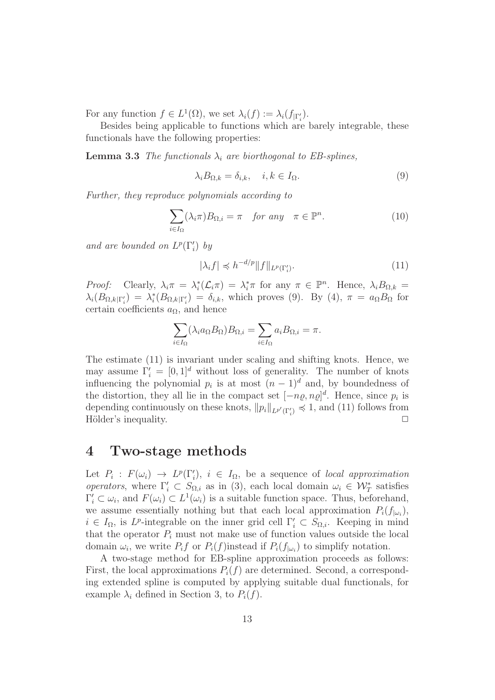For any function  $f \in L^1(\Omega)$ , we set  $\lambda_i(f) := \lambda_i(f_{\vert \Gamma'_i}).$ 

Besides being applicable to functions which are barely integrable, these functionals have the following properties:

**Lemma 3.3** The functionals  $\lambda_i$  are biorthogonal to EB-splines,

$$
\lambda_i B_{\Omega,k} = \delta_{i,k}, \quad i, k \in I_\Omega. \tag{9}
$$

Further, they reproduce polynomials according to

$$
\sum_{i \in I_{\Omega}} (\lambda_i \pi) B_{\Omega, i} = \pi \quad \text{for any} \quad \pi \in \mathbb{P}^n. \tag{10}
$$

and are bounded on  $L^p(\Gamma'_i)$  by

$$
|\lambda_i f| \preccurlyeq h^{-d/p} \|f\|_{L^p(\Gamma_i')}.
$$
\n(11)

Proof: Clearly,  $\lambda_i \pi = \lambda_i^* (\mathcal{L}_i \pi) = \lambda_i^* \pi$  for any  $\pi \in \mathbb{P}^n$ . Hence,  $\lambda_i B_{\Omega,k} =$  $\lambda_i(B_{\Omega,k|\Gamma'_i}) = \lambda_i^*(B_{\Omega,k|\Gamma'_i}) = \delta_{i,k}$ , which proves (9). By (4),  $\pi = a_{\Omega}B_{\Omega}$  for certain coefficients  $a_{\Omega}$ , and hence

$$
\sum_{i \in I_{\Omega}} (\lambda_i a_{\Omega} B_{\Omega}) B_{\Omega,i} = \sum_{i \in I_{\Omega}} a_i B_{\Omega,i} = \pi.
$$

The estimate (11) is invariant under scaling and shifting knots. Hence, we may assume  $\Gamma'_i = [0, 1]^d$  without loss of generality. The number of knots influencing the polynomial  $p_i$  is at most  $(n-1)^d$  and, by boundedness of the distortion, they all lie in the compact set  $[-n\rho, n\rho]^d$ . Hence, since  $p_i$  is depending continuously on these knots,  $||p_i||_{L^{p'}(\Gamma'_i)} \preccurlyeq 1$ , and (11) follows from Hölder's inequality.

#### 4 Two-stage methods

Let  $P_i : F(\omega_i) \to L^p(\Gamma'_i), i \in I_\Omega$ , be a sequence of local approximation operators, where  $\Gamma'_i \subset S_{\Omega,i}$  as in (3), each local domain  $\omega_i \in \mathcal{W}^*$  satisfies  $\Gamma'_i \subset \omega_i$ , and  $F(\omega_i) \subset L^1(\omega_i)$  is a suitable function space. Thus, beforehand, we assume essentially nothing but that each local approximation  $P_i(f_{|\omega_i})$ ,  $i \in I_{\Omega}$ , is  $L^p$ -integrable on the inner grid cell  $\Gamma'_i \subset S_{\Omega,i}$ . Keeping in mind that the operator  $P_i$  must not make use of function values outside the local domain  $\omega_i$ , we write  $P_i f$  or  $P_i(f)$  instead if  $P_i(f_{|\omega_i})$  to simplify notation.

A two-stage method for EB-spline approximation proceeds as follows: First, the local approximations  $P_i(f)$  are determined. Second, a corresponding extended spline is computed by applying suitable dual functionals, for example  $\lambda_i$  defined in Section 3, to  $P_i(f)$ .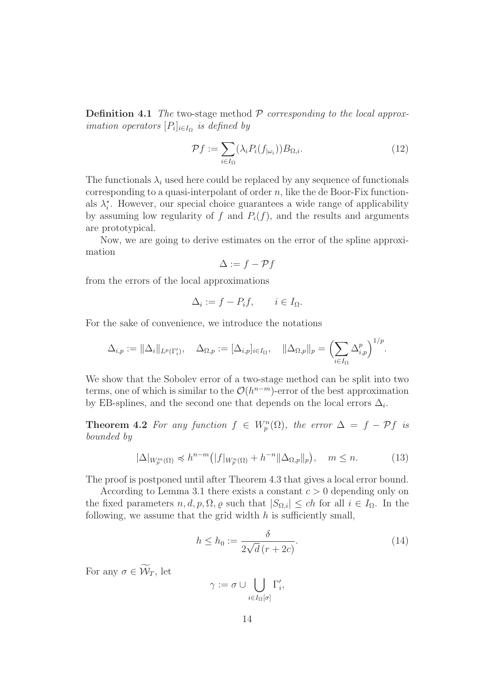**Definition 4.1** The two-stage method  $P$  corresponding to the local approx*imation operators*  $[P_i]_{i \in I_\Omega}$  *is defined by* 

$$
\mathcal{P}f := \sum_{i \in I_{\Omega}} (\lambda_i P_i(f_{|\omega_i})) B_{\Omega, i}.
$$
 (12)

The functionals  $\lambda_i$  used here could be replaced by any sequence of functionals corresponding to a quasi-interpolant of order  $n$ , like the de Boor-Fix functionals  $\lambda_i^*$ . However, our special choice guarantees a wide range of applicability by assuming low regularity of f and  $P_i(f)$ , and the results and arguments are prototypical.

Now, we are going to derive estimates on the error of the spline approximation

$$
\Delta := f - \mathcal{P}f
$$

from the errors of the local approximations

$$
\Delta_i := f - P_i f, \qquad i \in I_{\Omega}.
$$

For the sake of convenience, we introduce the notations

$$
\Delta_{i,p} := \|\Delta_i\|_{L^p(\Gamma'_i)}, \quad \Delta_{\Omega,p} := [\Delta_{i,p}]_{i \in I_{\Omega}}, \quad \|\Delta_{\Omega,p}\|_p = \left(\sum_{i \in I_{\Omega}} \Delta_{i,p}^p\right)^{1/p}.
$$

We show that the Sobolev error of a two-stage method can be split into two terms, one of which is similar to the  $\mathcal{O}(h^{n-m})$ -error of the best approximation by EB-splines, and the second one that depends on the local errors  $\Delta_i$ .

**Theorem 4.2** For any function  $f \in W_p^n(\Omega)$ , the error  $\Delta = f - Pf$  is bounded by

$$
|\Delta|_{W_p^m(\Omega)} \preccurlyeq h^{n-m} \big(|f|_{W_p^n(\Omega)} + h^{-n} \|\Delta_{\Omega,p}\|_p\big), \quad m \le n. \tag{13}
$$

The proof is postponed until after Theorem 4.3 that gives a local error bound.

According to Lemma 3.1 there exists a constant  $c > 0$  depending only on the fixed parameters  $n, d, p, \Omega, \varrho$  such that  $|S_{\Omega,i}| \le ch$  for all  $i \in I_{\Omega}$ . In the following, we assume that the grid width  $h$  is sufficiently small,

$$
h \le h_0 := \frac{\delta}{2\sqrt{d}\,(r+2c)}.\tag{14}
$$

For any  $\sigma \in \widetilde{\mathcal{W}}_T$ , let

$$
\gamma:=\sigma\cup\bigcup_{i\in I_{\Omega}[\sigma]}\Gamma'_i,
$$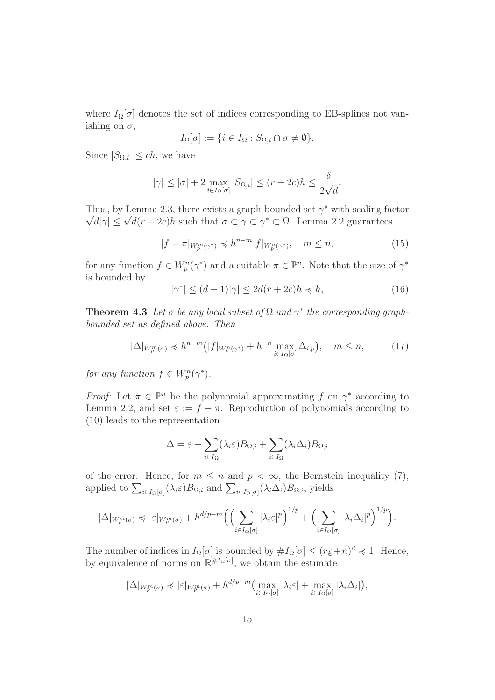where  $I_{\Omega}[\sigma]$  denotes the set of indices corresponding to EB-splines not vanishing on  $\sigma$ ,

$$
I_{\Omega}[\sigma] := \{ i \in I_{\Omega} : S_{\Omega, i} \cap \sigma \neq \emptyset \}.
$$

Since  $|S_{\Omega,i}| \le ch$ , we have

$$
|\gamma| \le |\sigma| + 2 \max_{i \in I_{\Omega}[\sigma]} |S_{\Omega,i}| \le (r + 2c)h \le \frac{\delta}{2\sqrt{d}}.
$$

Thus, by Lemma 2.3, there exists a graph-bounded set  $\gamma^*$  with scaling factor  $\sqrt{d}|\gamma| \leq \sqrt{d}(r+2c)h$  such that  $\sigma \subset \gamma \subset \gamma^* \subset \Omega$ . Lemma 2.2 guarantees

$$
|f - \pi|_{W_p^m(\gamma^*)} \preccurlyeq h^{n-m} |f|_{W_p^n(\gamma^*)}, \quad m \le n,
$$
\n<sup>(15)</sup>

for any function  $f \in W_p^n(\gamma^*)$  and a suitable  $\pi \in \mathbb{P}^n$ . Note that the size of  $\gamma^*$ is bounded by

$$
|\gamma^*| \le (d+1)|\gamma| \le 2d(r+2c)h \preccurlyeq h,\tag{16}
$$

**Theorem 4.3** Let  $\sigma$  be any local subset of  $\Omega$  and  $\gamma^*$  the corresponding graphbounded set as defined above. Then

$$
|\Delta|_{W_p^m(\sigma)} \preccurlyeq h^{n-m} \big(|f|_{W_p^n(\gamma^*)} + h^{-n} \max_{i \in I_\Omega[\sigma]} \Delta_{i,p}\big), \quad m \le n,\tag{17}
$$

for any function  $f \in W_p^n(\gamma^*).$ 

*Proof:* Let  $\pi \in \mathbb{P}^n$  be the polynomial approximating f on  $\gamma^*$  according to Lemma 2.2, and set  $\varepsilon := f - \pi$ . Reproduction of polynomials according to (10) leads to the representation

$$
\Delta = \varepsilon - \sum_{i \in I_{\Omega}} (\lambda_i \varepsilon) B_{\Omega, i} + \sum_{i \in I_{\Omega}} (\lambda_i \Delta_i) B_{\Omega, i}
$$

of the error. Hence, for  $m \leq n$  and  $p < \infty$ , the Bernstein inequality (7), applied to  $\sum_{i\in I_{\Omega}[\sigma]}(\lambda_i \varepsilon)B_{\Omega,i}$  and  $\sum_{i\in I_{\Omega}[\sigma]}(\lambda_i \Delta_i)B_{\Omega,i}$ , yields

$$
|\Delta|_{W_p^m(\sigma)} \preccurlyeq |\varepsilon|_{W_p^m(\sigma)} + h^{d/p-m} \Big( \Big( \sum_{i \in I_{\Omega}[\sigma]} |\lambda_i \varepsilon|^p \Big)^{1/p} + \Big( \sum_{i \in I_{\Omega}[\sigma]} |\lambda_i \Delta_i|^p \Big)^{1/p} \Big).
$$

The number of indices in  $I_{\Omega}[\sigma]$  is bounded by  $\#I_{\Omega}[\sigma] \leq (r\varrho+n)^d \preccurlyeq 1$ . Hence, by equivalence of norms on  $\mathbb{R}^{\#I_{\Omega}[\sigma]}$ , we obtain the estimate

$$
|\Delta|_{W_p^m(\sigma)} \preccurlyeq |\varepsilon|_{W_p^m(\sigma)} + h^{d/p-m} \Big( \max_{i \in I_{\Omega}[\sigma]} |\lambda_i \varepsilon| + \max_{i \in I_{\Omega}[\sigma]} |\lambda_i \Delta_i| \Big),
$$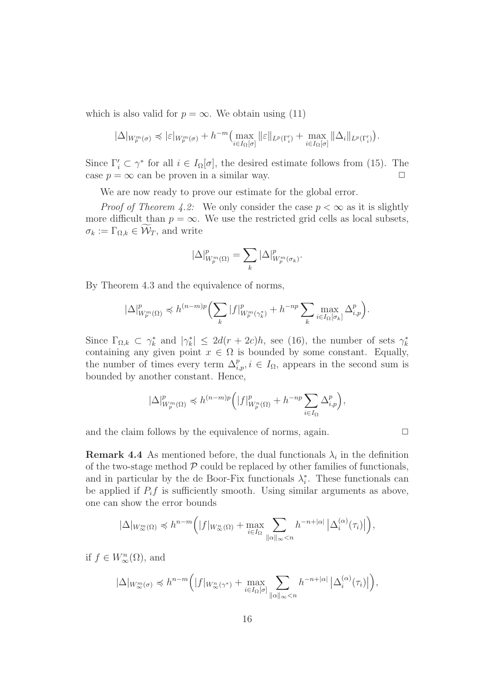which is also valid for  $p = \infty$ . We obtain using (11)

$$
|\Delta|_{W_p^m(\sigma)} \preccurlyeq |\varepsilon|_{W_p^m(\sigma)} + h^{-m} \Big( \max_{i \in I_{\Omega}[\sigma]} \|\varepsilon\|_{L^p(\Gamma'_i)} + \max_{i \in I_{\Omega}[\sigma]} \|\Delta_i\|_{L^p(\Gamma'_i)} \Big).
$$

Since  $\Gamma'_i \subset \gamma^*$  for all  $i \in I_{\Omega}[\sigma]$ , the desired estimate follows from (15). The case  $p = \infty$  can be proven in a similar way.  $\square$ 

We are now ready to prove our estimate for the global error.

*Proof of Theorem 4.2:* We only consider the case  $p < \infty$  as it is slightly more difficult than  $p = \infty$ . We use the restricted grid cells as local subsets,  $\sigma_k := \Gamma_{\Omega,k} \in \mathcal{W}_T$ , and write

$$
|\Delta|^{p}_{W^{m}_{p}(\Omega)}=\sum_{k}|\Delta|^{p}_{W^{m}_{p}(\sigma_{k})}.
$$

By Theorem 4.3 and the equivalence of norms,

$$
|\Delta|^{p}_{W^{m}_{p}(\Omega)} \preccurlyeq h^{(n-m)p}\Bigl(\sum_{k}|f|^{p}_{W^{m}_{p}(\gamma^{*}_{k})}+h^{-np}\sum_{k}\max_{i\in I_{\Omega}[\sigma_{k}]}\Delta^{p}_{i,p}\Bigr).
$$

Since  $\Gamma_{\Omega,k} \subset \gamma_k^*$  and  $|\gamma_k^*| \leq 2d(r+2c)h$ , see (16), the number of sets  $\gamma_k^*$ containing any given point  $x \in \Omega$  is bounded by some constant. Equally, the number of times every term  $\Delta_{i,p}^p, i \in I_\Omega$ , appears in the second sum is bounded by another constant. Hence,

$$
|\Delta|^{p}_{W^{m}_{p}(\Omega)} \preccurlyeq h^{(n-m)p}\Big(|f|^{p}_{W^{n}_{p}(\Omega)}+h^{-np}\sum_{i\in I_{\Omega}}\Delta^{p}_{i,p}\Big),
$$

and the claim follows by the equivalence of norms, again.  $\Box$ 

**Remark 4.4** As mentioned before, the dual functionals  $\lambda_i$  in the definition of the two-stage method  $P$  could be replaced by other families of functionals, and in particular by the de Boor-Fix functionals  $\lambda_i^*$ . These functionals can be applied if  $P_i f$  is sufficiently smooth. Using similar arguments as above, one can show the error bounds

$$
|\Delta|_{W_{\infty}^m(\Omega)} \preccurlyeq h^{n-m} \Big( |f|_{W_{\infty}^n(\Omega)} + \max_{i \in I_{\Omega}} \sum_{\|\alpha\|_{\infty} < n} h^{-n+|\alpha|} \left| \Delta_i^{(\alpha)}(\tau_i) \right| \Big),
$$

if  $f \in W_{\infty}^n(\Omega)$ , and

$$
|\Delta|_{W_{\infty}^m(\sigma)} \preccurlyeq h^{n-m} \Big( |f|_{W_{\infty}^n(\gamma^*)} + \max_{i \in I_{\Omega}[\sigma]} \sum_{\|\alpha\|_{\infty} < n} h^{-n+|\alpha|} \left| \Delta_i^{(\alpha)}(\tau_i) \right| \Big),
$$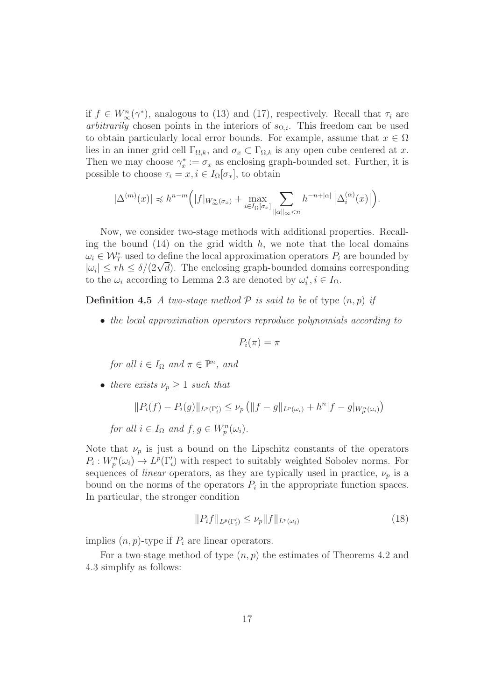if  $f \in W_{\infty}^n(\gamma^*)$ , analogous to (13) and (17), respectively. Recall that  $\tau_i$  are *arbitrarily* chosen points in the interiors of  $s_{\Omega,i}$ . This freedom can be used to obtain particularly local error bounds. For example, assume that  $x \in \Omega$ lies in an inner grid cell  $\Gamma_{\Omega,k}$ , and  $\sigma_x \subset \Gamma_{\Omega,k}$  is any open cube centered at x. Then we may choose  $\gamma_x^* := \sigma_x$  as enclosing graph-bounded set. Further, it is possible to choose  $\tau_i = x, i \in I_{\Omega}[\sigma_x]$ , to obtain

$$
|\Delta^{(m)}(x)| \preccurlyeq h^{n-m} \Big( |f|_{W^n_{\infty}(\sigma_x)} + \max_{i \in I_{\Omega}[\sigma_x]} \sum_{\|\alpha\|_{\infty} < n} h^{-n+|\alpha|} \left| \Delta_i^{(\alpha)}(x) \right| \Big).
$$

Now, we consider two-stage methods with additional properties. Recalling the bound  $(14)$  on the grid width h, we note that the local domains  $\omega_i \in \mathcal{W}_T^*$  used to define the local approximation operators  $P_i$  are bounded by  $|\omega_i| \le r h \le \delta/(2\sqrt{d})$ . The enclosing graph-bounded domains corresponding to the  $\omega_i$  according to Lemma 2.3 are denoted by  $\omega_i^*, i \in I_{\Omega}$ .

**Definition 4.5** A two-stage method  $P$  is said to be of type  $(n, p)$  if

• the local approximation operators reproduce polynomials according to

$$
P_i(\pi) = \pi
$$

for all  $i \in I_{\Omega}$  and  $\pi \in \mathbb{P}^n$ , and

• there exists  $\nu_p \geq 1$  such that

$$
||P_i(f) - P_i(g)||_{L^p(\Gamma'_i)} \le \nu_p (||f - g||_{L^p(\omega_i)} + h^n|f - g|_{W_p^n(\omega_i)})
$$

for all  $i \in I_{\Omega}$  and  $f, g \in W_p^n(\omega_i)$ .

Note that  $\nu_p$  is just a bound on the Lipschitz constants of the operators  $P_i: W_p^n(\omega_i) \to L^p(\Gamma'_i)$  with respect to suitably weighted Sobolev norms. For sequences of *linear* operators, as they are typically used in practice,  $\nu_p$  is a bound on the norms of the operators  $P_i$  in the appropriate function spaces. In particular, the stronger condition

$$
||P_i f||_{L^p(\Gamma'_i)} \le \nu_p ||f||_{L^p(\omega_i)} \tag{18}
$$

implies  $(n, p)$ -type if  $P_i$  are linear operators.

For a two-stage method of type  $(n, p)$  the estimates of Theorems 4.2 and 4.3 simplify as follows: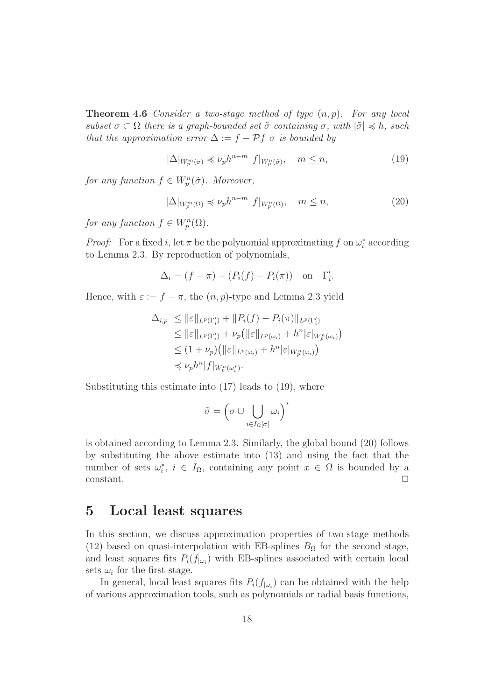**Theorem 4.6** Consider a two-stage method of type  $(n, p)$ . For any local subset  $\sigma \subset \Omega$  there is a graph-bounded set  $\tilde{\sigma}$  containing  $\sigma$ , with  $|\tilde{\sigma}| \preccurlyeq h$ , such that the approximation error  $\Delta := f - \mathcal{P} f \sigma$  is bounded by

$$
|\Delta|_{W_p^m(\sigma)} \preccurlyeq \nu_p h^{n-m} |f|_{W_p^n(\tilde{\sigma})}, \quad m \le n,\tag{19}
$$

for any function  $f \in W_p^n(\tilde{\sigma})$ . Moreover,

$$
|\Delta|_{W_p^m(\Omega)} \preccurlyeq \nu_p h^{n-m} |f|_{W_p^n(\Omega)}, \quad m \le n,\tag{20}
$$

for any function  $f \in W_p^n(\Omega)$ .

*Proof:* For a fixed i, let  $\pi$  be the polynomial approximating f on  $\omega_i^*$  according to Lemma 2.3. By reproduction of polynomials,

$$
\Delta_i = (f - \pi) - (P_i(f) - P_i(\pi)) \quad \text{on} \quad \Gamma'_i.
$$

Hence, with  $\varepsilon := f - \pi$ , the  $(n, p)$ -type and Lemma 2.3 yield

$$
\Delta_{i,p} \leq ||\varepsilon||_{L^p(\Gamma'_i)} + ||P_i(f) - P_i(\pi)||_{L^p(\Gamma'_i)}
$$
  
\n
$$
\leq ||\varepsilon||_{L^p(\Gamma'_i)} + \nu_p(||\varepsilon||_{L^p(\omega_i)} + h^n|\varepsilon|_{W_p^n(\omega_i)})
$$
  
\n
$$
\leq (1 + \nu_p)(||\varepsilon||_{L^p(\omega_i)} + h^n|\varepsilon|_{W_p^n(\omega_i)})
$$
  
\n
$$
\leq \nu_p h^n |f|_{W_p^n(\omega_i^*)}.
$$

Substituting this estimate into  $(17)$  leads to  $(19)$ , where

$$
\tilde{\sigma} = \left(\sigma \cup \bigcup_{i \in I_{\Omega}[\sigma]} \omega_i\right)^*
$$

is obtained according to Lemma 2.3. Similarly, the global bound (20) follows by substituting the above estimate into (13) and using the fact that the number of sets  $\omega_i^*, i \in I_\Omega$ , containing any point  $x \in \Omega$  is bounded by a  $constant.$ 

### 5 Local least squares

In this section, we discuss approximation properties of two-stage methods (12) based on quasi-interpolation with EB-splines  $B_{\Omega}$  for the second stage, and least squares fits  $P_i(f_{|\omega_i})$  with EB-splines associated with certain local sets  $\omega_i$  for the first stage.

In general, local least squares fits  $P_i(f_{\vert \omega_i})$  can be obtained with the help of various approximation tools, such as polynomials or radial basis functions,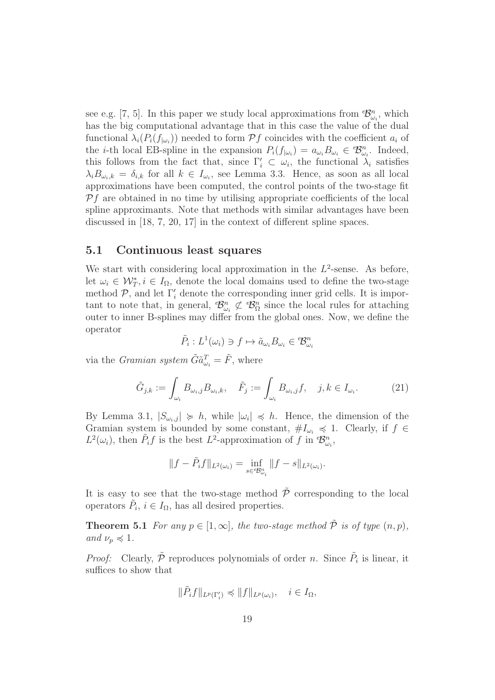see e.g. [7, 5]. In this paper we study local approximations from  $\mathcal{B}^n_{\omega_i}$ , which has the big computational advantage that in this case the value of the dual functional  $\lambda_i(P_i(f_{|\omega_i}))$  needed to form  $\mathcal{P}f$  coincides with the coefficient  $a_i$  of the *i*-th local EB-spline in the expansion  $P_i(f_{|\omega_i}) = a_{\omega_i} B_{\omega_i} \in \mathcal{B}_{\omega_i}^n$ . Indeed, this follows from the fact that, since  $\Gamma'_i \subset \omega_i$ , the functional  $\lambda_i$  satisfies  $\lambda_i B_{\omega_i,k} = \delta_{i,k}$  for all  $k \in I_{\omega_i}$ , see Lemma 3.3. Hence, as soon as all local approximations have been computed, the control points of the two-stage fit  $Pf$  are obtained in no time by utilising appropriate coefficients of the local spline approximants. Note that methods with similar advantages have been discussed in [18, 7, 20, 17] in the context of different spline spaces.

#### 5.1 Continuous least squares

We start with considering local approximation in the  $L^2$ -sense. As before, let  $\omega_i \in \mathcal{W}_T^*, i \in I_{\Omega}$ , denote the local domains used to define the two-stage method  $P$ , and let  $\Gamma'$  denote the corresponding inner grid cells. It is important to note that, in general,  $\mathcal{B}_{\omega_i}^n \not\subset \mathcal{B}_{\Omega}^n$  since the local rules for attaching outer to inner B-splines may differ from the global ones. Now, we define the operator

$$
\tilde{P}_i: L^1(\omega_i) \ni f \mapsto \tilde{a}_{\omega_i} B_{\omega_i} \in \mathcal{B}_{\omega_i}^n
$$

via the *Gramian system*  $\tilde{G} \tilde{a}^T_{\omega_i} = \tilde{F}$ , where

$$
\tilde{G}_{j,k} := \int_{\omega_i} B_{\omega_i,j} B_{\omega_i,k}, \quad \tilde{F}_j := \int_{\omega_i} B_{\omega_i,j} f, \quad j,k \in I_{\omega_i}.
$$
 (21)

By Lemma 3.1,  $|S_{\omega_i,j}| \geq h$ , while  $|\omega_i| \leq h$ . Hence, the dimension of the Gramian system is bounded by some constant,  $\#I_{\omega_i} \leq 1$ . Clearly, if  $f \in$  $L^2(\omega_i)$ , then  $\tilde{P}_i f$  is the best  $L^2$ -approximation of f in  $\mathcal{B}_{\omega_i}^n$ ,

$$
||f - \tilde{P}_i f||_{L^2(\omega_i)} = \inf_{s \in \mathcal{B}_{\omega_i}^n} ||f - s||_{L^2(\omega_i)}.
$$

It is easy to see that the two-stage method  $\tilde{\mathcal{P}}$  corresponding to the local operators  $\tilde{P}_i$ ,  $i \in I_\Omega$ , has all desired properties.

**Theorem 5.1** For any  $p \in [1,\infty]$ , the two-stage method  $\tilde{P}$  is of type  $(n, p)$ , and  $\nu_p \preccurlyeq 1$ .

*Proof:* Clearly,  $\tilde{P}$  reproduces polynomials of order *n*. Since  $\tilde{P}_i$  is linear, it suffices to show that

$$
\|\tilde{P}_i f\|_{L^p(\Gamma'_i)} \preccurlyeq \|f\|_{L^p(\omega_i)}, \quad i \in I_\Omega,
$$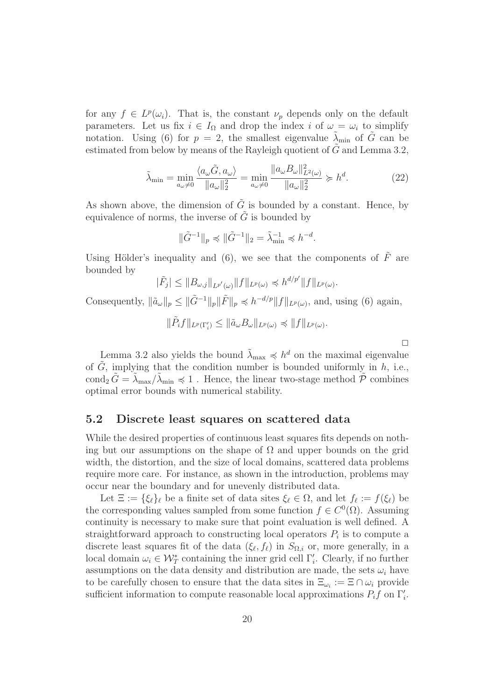for any  $f \in L^p(\omega_i)$ . That is, the constant  $\nu_p$  depends only on the default parameters. Let us fix  $i \in I_{\Omega}$  and drop the index i of  $\omega = \omega_i$  to simplify notation. Using (6) for  $p = 2$ , the smallest eigenvalue  $\lambda_{\min}$  of  $\tilde{G}$  can be estimated from below by means of the Rayleigh quotient of  $\tilde{G}$  and Lemma 3.2,

$$
\tilde{\lambda}_{\min} = \min_{a_{\omega} \neq 0} \frac{\langle a_{\omega} \tilde{G}, a_{\omega} \rangle}{\|a_{\omega}\|_{2}^{2}} = \min_{a_{\omega} \neq 0} \frac{\|a_{\omega} B_{\omega}\|_{L^{2}(\omega)}^{2}}{\|a_{\omega}\|_{2}^{2}} \succcurlyeq h^{d}.
$$
\n(22)

As shown above, the dimension of  $\tilde{G}$  is bounded by a constant. Hence, by equivalence of norms, the inverse of  $\tilde{G}$  is bounded by

$$
\|\tilde{G}^{-1}\|_{p} \preccurlyeq \|\tilde{G}^{-1}\|_{2} = \tilde{\lambda}_{\min}^{-1} \preccurlyeq h^{-d}.
$$

Using Hölder's inequality and (6), we see that the components of  $\tilde{F}$  are bounded by

$$
|\tilde{F}_j| \leq ||B_{\omega,j}||_{L^{p'}(\omega)} ||f||_{L^p(\omega)} \preccurlyeq h^{d/p'} ||f||_{L^p(\omega)}.
$$

Consequently,  $\|\tilde{a}_{\omega}\|_p \leq \|\tilde{G}^{-1}\|_p \|\tilde{F}\|_p \preccurlyeq h^{-d/p} \|f\|_{L^p(\omega)}$ , and, using (6) again,

 $\|\tilde{P}_i f\|_{L^p(\Gamma'_i)} \leq \|\tilde{a}_{\omega} B_{\omega}\|_{L^p(\omega)} \preccurlyeq \|f\|_{L^p(\omega)}.$ 

 $\Box$ 

Lemma 3.2 also yields the bound  $\tilde{\lambda}_{\text{max}} \preccurlyeq h^d$  on the maximal eigenvalue of  $\tilde{G}$ , implying that the condition number is bounded uniformly in  $h$ , i.e., cond<sub>2</sub>  $\tilde{G} = \tilde{\lambda}_{\text{max}} / \tilde{\lambda}_{\text{min}} \leq 1$ . Hence, the linear two-stage method  $\tilde{\mathcal{P}}$  combines optimal error bounds with numerical stability.

#### 5.2 Discrete least squares on scattered data

While the desired properties of continuous least squares fits depends on nothing but our assumptions on the shape of  $\Omega$  and upper bounds on the grid width, the distortion, and the size of local domains, scattered data problems require more care. For instance, as shown in the introduction, problems may occur near the boundary and for unevenly distributed data.

Let  $\Xi := {\xi_{\ell}}_{\ell}$  be a finite set of data sites  $\xi_{\ell} \in \Omega$ , and let  $f_{\ell} := f(\xi_{\ell})$  be the corresponding values sampled from some function  $f \in C^{0}(\Omega)$ . Assuming continuity is necessary to make sure that point evaluation is well defined. A straightforward approach to constructing local operators  $P_i$  is to compute a discrete least squares fit of the data  $(\xi_{\ell}, f_{\ell})$  in  $S_{\Omega,i}$  or, more generally, in a local domain  $\omega_i \in \mathcal{W}_T^*$  containing the inner grid cell  $\Gamma'_i$ . Clearly, if no further assumptions on the data density and distribution are made, the sets  $\omega_i$  have to be carefully chosen to ensure that the data sites in  $\Xi_{\omega_i} := \Xi \cap \omega_i$  provide sufficient information to compute reasonable local approximations  $P_i f$  on  $\Gamma'_i$ .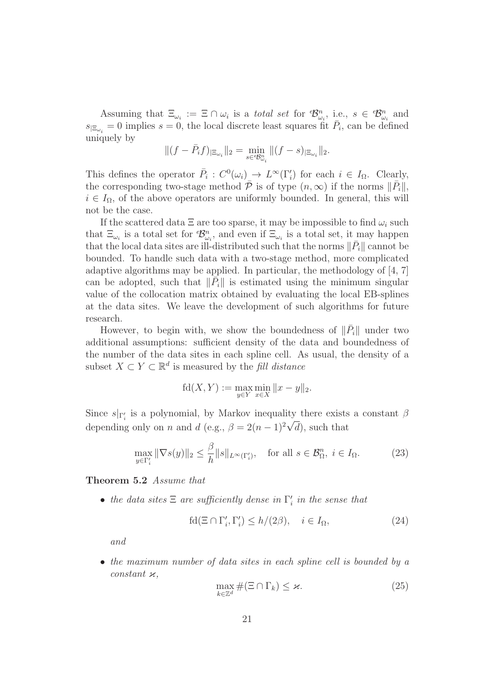Assuming that  $\Xi_{\omega_i} := \Xi \cap \omega_i$  is a *total set* for  $\mathcal{B}_{\omega_i}^n$ , i.e.,  $s \in \mathcal{B}_{\omega_i}^n$  and  $s_{\vert \Xi_{\omega_i}} = 0$  implies  $s = 0$ , the local discrete least squares fit  $\bar{P}_i$ , can be defined uniquely by

$$
\|(f-\bar P_if)_{|\Xi_{\omega_i}}\|_2=\min_{s\in{^\theta\!B^n_{\omega_i}}}\|(f-s)_{|\Xi_{\omega_i}}\|_2.
$$

This defines the operator  $\overline{P}_i : C^0(\omega_i) \longrightarrow L^\infty(\Gamma'_i)$  for each  $i \in I_\Omega$ . Clearly, the corresponding two-stage method  $\bar{\mathcal{P}}$  is of type  $(n,\infty)$  if the norms  $\|\bar{P}_i\|$ ,  $i \in I_{\Omega}$ , of the above operators are uniformly bounded. In general, this will not be the case.

If the scattered data  $\Xi$  are too sparse, it may be impossible to find  $\omega_i$  such that  $\Xi_{\omega_i}$  is a total set for  $\mathcal{B}_{\omega_i}^n$ , and even if  $\Xi_{\omega_i}$  is a total set, it may happen that the local data sites are ill-distributed such that the norms  $\|\bar{P}_i\|$  cannot be bounded. To handle such data with a two-stage method, more complicated adaptive algorithms may be applied. In particular, the methodology of  $[4, 7]$ can be adopted, such that  $\|\overline{P}_i\|$  is estimated using the minimum singular value of the collocation matrix obtained by evaluating the local EB-splines at the data sites. We leave the development of such algorithms for future research.

However, to begin with, we show the boundedness of  $\|\bar{P}_i\|$  under two additional assumptions: sufficient density of the data and boundedness of the number of the data sites in each spline cell. As usual, the density of a subset  $X \subset Y \subset \mathbb{R}^d$  is measured by the *fill distance* 

$$
fd(X, Y) := \max_{y \in Y} \min_{x \in X} ||x - y||_2.
$$

Since  $s|_{\Gamma'_i}$  is a polynomial, by Markov inequality there exists a constant  $\beta$ depending only on *n* and *d* (e.g.,  $\beta = 2(n-1)^2 \sqrt{d}$ ), such that

$$
\max_{y \in \Gamma'_i} \|\nabla s(y)\|_2 \le \frac{\beta}{h} \|s\|_{L^\infty(\Gamma'_i)}, \quad \text{for all } s \in \mathcal{B}_\Omega^n, \ i \in I_\Omega. \tag{23}
$$

Theorem 5.2 Assume that

• the data sites  $\Xi$  are sufficiently dense in  $\Gamma'_i$  in the sense that

$$
\text{fd}(\Xi \cap \Gamma_i', \Gamma_i') \le h/(2\beta), \quad i \in I_{\Omega},\tag{24}
$$

and

• the maximum number of data sites in each spline cell is bounded by a constant  $\varkappa$ ,

$$
\max_{k \in \mathbb{Z}^d} \#(\Xi \cap \Gamma_k) \le \varkappa. \tag{25}
$$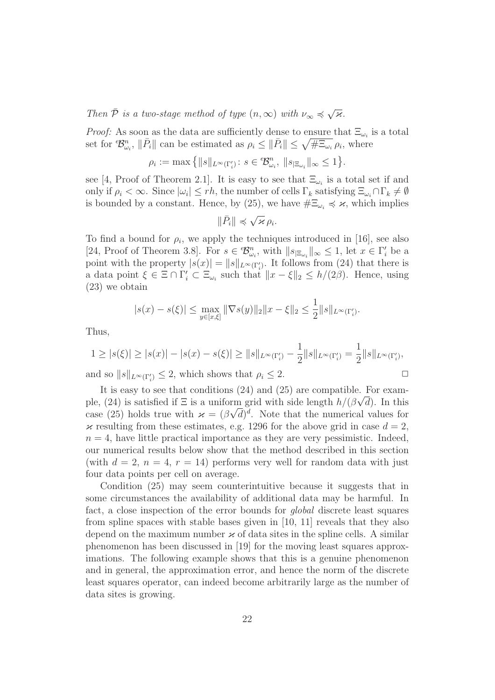Then  $\bar{\mathcal{P}}$  is a two-stage method of type  $(n, \infty)$  with  $\nu_{\infty} \preccurlyeq \sqrt{\varkappa}$ .

*Proof:* As soon as the data are sufficiently dense to ensure that  $\Xi_{\omega_i}$  is a total set for  $\mathcal{B}_{\omega_i}^n$ ,  $\|\bar{P}_i\|$  can be estimated as  $\rho_i \leq \|\bar{P}_i\| \leq \sqrt{\#\Xi_{\omega_i}} \rho_i$ , where

$$
\rho_i := \max\left\{ \|s\|_{L^{\infty}(\Gamma'_i)} \colon s \in \mathcal{B}^n_{\omega_i}, \|s_{|\Xi_{\omega_i}}\|_{\infty} \leq 1 \right\}.
$$

see [4, Proof of Theorem 2.1]. It is easy to see that  $\Xi_{\omega_i}$  is a total set if and only if  $\rho_i < \infty$ . Since  $|\omega_i| \leq rh$ , the number of cells  $\Gamma_k$  satisfying  $\Xi_{\omega_i} \cap \Gamma_k \neq \emptyset$ is bounded by a constant. Hence, by (25), we have  $\#\Xi_{\omega_i} \preccurlyeq \varkappa$ , which implies

$$
\|\bar{P}_i\| \preccurlyeq \sqrt{\varkappa} \,\rho_i.
$$

To find a bound for  $\rho_i$ , we apply the techniques introduced in [16], see also [24, Proof of Theorem 3.8]. For  $s \in \mathcal{B}_{\omega_i}^n$ , with  $||s_{\Xi_{\omega_i}}||_{\infty} \leq 1$ , let  $x \in \Gamma_i'$  be a point with the property  $|s(x)| = ||s||_{L^{\infty}(\Gamma'_i)}$ . It follows from (24) that there is a data point  $\xi \in \Xi \cap \Gamma'_i \subset \Xi_{\omega_i}$  such that  $||x - \xi||_2 \le h/(2\beta)$ . Hence, using (23) we obtain

$$
|s(x) - s(\xi)| \le \max_{y \in [x,\xi]} \|\nabla s(y)\|_2 \|x - \xi\|_2 \le \frac{1}{2} \|s\|_{L^\infty(\Gamma'_i)}.
$$

Thus,

$$
1 \ge |s(\xi)| \ge |s(x)| - |s(x) - s(\xi)| \ge ||s||_{L^{\infty}(\Gamma'_i)} - \frac{1}{2}||s||_{L^{\infty}(\Gamma'_i)} = \frac{1}{2}||s||_{L^{\infty}(\Gamma'_i)},
$$

and so  $||s||_{L^{\infty}(\Gamma'_i)} \leq 2$ , which shows that  $\rho_i \leq 2$ .

It is easy to see that conditions (24) and (25) are compatible. For example, (24) is satisfied if  $\Xi$  is a uniform grid with side length  $h/(\beta\sqrt{d})$ . In this case (25) holds true with  $\kappa = (\beta \sqrt{d})^d$ . Note that the numerical values for  $\kappa$  resulting from these estimates, e.g. 1296 for the above grid in case  $d = 2$ ,  $n = 4$ , have little practical importance as they are very pessimistic. Indeed, our numerical results below show that the method described in this section (with  $d = 2$ ,  $n = 4$ ,  $r = 14$ ) performs very well for random data with just four data points per cell on average.

Condition (25) may seem counterintuitive because it suggests that in some circumstances the availability of additional data may be harmful. In fact, a close inspection of the error bounds for global discrete least squares from spline spaces with stable bases given in [10, 11] reveals that they also depend on the maximum number  $\varkappa$  of data sites in the spline cells. A similar phenomenon has been discussed in [19] for the moving least squares approximations. The following example shows that this is a genuine phenomenon and in general, the approximation error, and hence the norm of the discrete least squares operator, can indeed become arbitrarily large as the number of data sites is growing.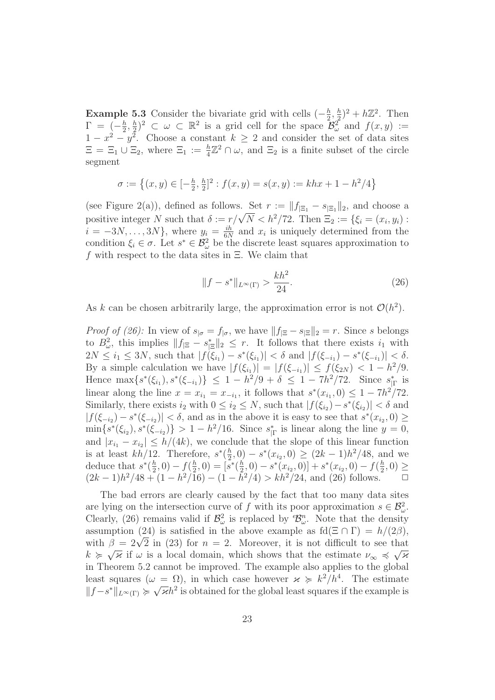**Example 5.3** Consider the bivariate grid with cells  $\left(-\frac{h}{2}\right)$  $\frac{h}{2}, \frac{h}{2}$  $(\frac{h}{2})^2 + h\mathbb{Z}^2$ . Then  $\Gamma = \begin{pmatrix} -\frac{h}{2} \end{pmatrix}$  $\frac{h}{2}, \frac{h}{2}$  $\frac{h}{2}$  $\}^2 \subset \omega \subset \mathbb{R}^2$  is a grid cell for the space  $\mathcal{B}_{\omega}^2$  and  $f(x, y) :=$  $1-x^2-y^2$ . Choose a constant  $k \geq 2$  and consider the set of data sites  $\Xi = \Xi_1 \cup \Xi_2$ , where  $\Xi_1 := \frac{h}{4} \mathbb{Z}^2 \cap \omega$ , and  $\Xi_2$  is a finite subset of the circle segment

$$
\sigma := \left\{ (x, y) \in [-\frac{h}{2}, \frac{h}{2}]^2 : f(x, y) = s(x, y) := khx + 1 - h^2/4 \right\}
$$

(see Figure 2(a)), defined as follows. Set  $r := ||f_{\vert \Xi_1} - s_{\vert \Xi_1}||_2$ , and choose a positive integer N such that  $\delta := \frac{r}{\sqrt{N}} < h^2/72$ . Then  $\Xi_2 := \{\xi_i = (x_i, y_i) :$  $i = -3N, \ldots, 3N\},$  where  $y_i = \frac{ih}{6N}$  $\frac{i\hbar}{6N}$  and  $x_i$  is uniquely determined from the condition  $\xi_i \in \sigma$ . Let  $s^* \in \mathcal{B}^2_{\omega}$  be the discrete least squares approximation to f with respect to the data sites in  $\Xi$ . We claim that

$$
||f - s^*||_{L^{\infty}(\Gamma)} > \frac{kh^2}{24}.
$$
 (26)

As k can be chosen arbitrarily large, the approximation error is not  $\mathcal{O}(h^2)$ .

*Proof of (26):* In view of  $s_{|\sigma} = f_{|\sigma}$ , we have  $||f_{|\Xi} - s_{|\Xi}||_2 = r$ . Since s belongs to  $B_{\omega}^2$ , this implies  $||f_{\vert \Xi} - s_{\vert \Xi}^*||_2 \leq r$ . It follows that there exists  $i_1$  with  $2N \leq i_1 \leq 3N$ , such that  $|f(\xi_{i_1}) - s^*(\xi_{i_1})| < \delta$  and  $|f(\xi_{-i_1}) - s^*(\xi_{-i_1})| < \delta$ . By a simple calculation we have  $|f(\xi_{i_1})| = |f(\xi_{-i_1})| \leq f(\xi_{2N}) < 1 - h^2/9$ . Hence  $\max\{s^*(\xi_{i_1}), s^*(\xi_{-i_1})\} \leq 1 - h^2/9 + \delta \leq 1 - 7h^2/72$ . Since  $s^*_{|\Gamma}$  is linear along the line  $x = x_{i_1} = x_{-i_1}$ , it follows that  $s^*(x_{i_1}, 0) \leq 1 - 7h^2/72$ . Similarly, there exists  $i_2$  with  $0 \leq i_2 \leq N$ , such that  $|f(\xi_{i_2}) - s^*(\xi_{i_2})| < \delta$  and  $|f(\xi_{-i_2}) - s^*(\xi_{-i_2})| < \delta$ , and as in the above it is easy to see that  $s^*(x_{i_2}, 0) \ge$  $\min\{s^*(\xi_{i_2}), s^*(\xi_{-i_2})\} > 1 - h^2/16$ . Since  $s^*_{|\Gamma}$  is linear along the line  $y = 0$ , and  $|x_{i_1} - x_{i_2}| \leq h/(4k)$ , we conclude that the slope of this linear function is at least  $kh/12$ . Therefore,  $s^*(\frac{h}{2})$  $\frac{h}{2}$ , 0) –  $s^*(x_{i_2}, 0) \geq (2k-1)h^2/48$ , and we deduce that  $s^*(\frac{h}{2})$  $(\frac{h}{2},0) - f(\frac{h}{2})$  $(\frac{h}{2},0) = [s^*(\frac{h}{2})]$  $\left[\frac{h}{2},0\right]-s^*(x_{i_2},0)+s^*(x_{i_2},0)-f(\frac{h}{2})$  $\frac{h}{2}, 0) \geq$  $(2k-1)h^2/48 + (1-h^2/16) - (1-h^2/4) > kh^2/24$ , and (26) follows. <del>□</del>

The bad errors are clearly caused by the fact that too many data sites are lying on the intersection curve of f with its poor approximation  $s \in \mathcal{B}^2_{\omega}$ . Clearly, (26) remains valid if  $\mathcal{B}_{\omega}^2$  is replaced by  $\mathcal{B}_{\omega}^n$ . Note that the density assumption (24) is satisfied in the above example as  $\text{fd}(\Xi \cap \Gamma) = h/(2\beta)$ , with  $\beta = 2\sqrt{2}$  in (23) for  $n = 2$ . Moreover, it is not difficult to see that  $k \geqslant \sqrt{\varkappa}$  if  $\omega$  is a local domain, which shows that the estimate  $\nu_{\infty} \preccurlyeq \sqrt{\varkappa}$ in Theorem 5.2 cannot be improved. The example also applies to the global least squares  $(\omega = \Omega)$ , in which case however  $\varkappa \geq k^2/h^4$ . The estimate  $||f-s^*||_{L^{\infty}(\Gamma)} \succcurlyeq \sqrt{\varkappa}h^2$  is obtained for the global least squares if the example is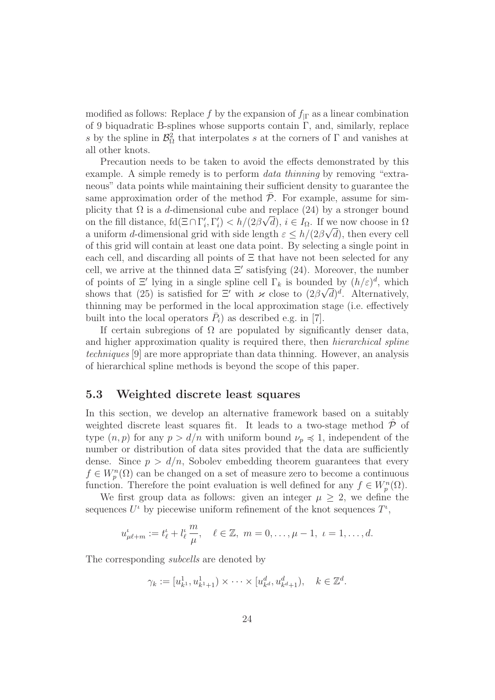modified as follows: Replace f by the expansion of  $f_{\text{IF}}$  as a linear combination of 9 biquadratic B-splines whose supports contain  $\Gamma$ , and, similarly, replace s by the spline in  $\mathcal{B}_{\Omega}^2$  that interpolates s at the corners of  $\Gamma$  and vanishes at all other knots.

Precaution needs to be taken to avoid the effects demonstrated by this example. A simple remedy is to perform *data thinning* by removing "extraneous" data points while maintaining their sufficient density to guarantee the same approximation order of the method  $P$ . For example, assume for simplicity that  $\Omega$  is a d-dimensional cube and replace (24) by a stronger bound on the fill distance,  $fd(\Xi \cap \Gamma'_i, \Gamma'_i) < h/(2\beta\sqrt{d}), i \in I_{\Omega}$ . If we now choose in  $\Omega$ a uniform d-dimensional grid with side length  $\varepsilon \leq h/(2\beta\sqrt{d})$ , then every cell of this grid will contain at least one data point. By selecting a single point in each cell, and discarding all points of  $\Xi$  that have not been selected for any cell, we arrive at the thinned data  $\Xi'$  satisfying (24). Moreover, the number of points of  $\Xi'$  lying in a single spline cell  $\Gamma_k$  is bounded by  $(h/\varepsilon)^d$ , which shows that (25) is satisfied for  $\Xi'$  with  $\varkappa$  close to  $(2\beta\sqrt{d})^d$ . Alternatively, thinning may be performed in the local approximation stage (i.e. effectively built into the local operators  $\bar{P}_i$ ) as described e.g. in [7].

If certain subregions of  $\Omega$  are populated by significantly denser data, and higher approximation quality is required there, then hierarchical spline techniques [9] are more appropriate than data thinning. However, an analysis of hierarchical spline methods is beyond the scope of this paper.

#### 5.3 Weighted discrete least squares

In this section, we develop an alternative framework based on a suitably weighted discrete least squares fit. It leads to a two-stage method  $\overline{P}$  of type  $(n, p)$  for any  $p > d/n$  with uniform bound  $\nu_p \preccurlyeq 1$ , independent of the number or distribution of data sites provided that the data are sufficiently dense. Since  $p > d/n$ , Sobolev embedding theorem guarantees that every  $f \in W_p^n(\Omega)$  can be changed on a set of measure zero to become a continuous function. Therefore the point evaluation is well defined for any  $f \in W_p^n(\Omega)$ .

We first group data as follows: given an integer  $\mu \geq 2$ , we define the sequences  $U^{\iota}$  by piecewise uniform refinement of the knot sequences  $T^{\iota}$ ,

$$
u_{\mu\ell+m}^{\iota} := t_{\ell}^{\iota} + l_{\ell}^{\iota} \frac{m}{\mu}, \quad \ell \in \mathbb{Z}, \ m = 0, \dots, \mu - 1, \ \iota = 1, \dots, d.
$$

The corresponding *subcells* are denoted by

$$
\gamma_k := [u_{k^1}^1, u_{k^1+1}^1) \times \cdots \times [u_{k^d}^d, u_{k^d+1}^d), \quad k \in \mathbb{Z}^d.
$$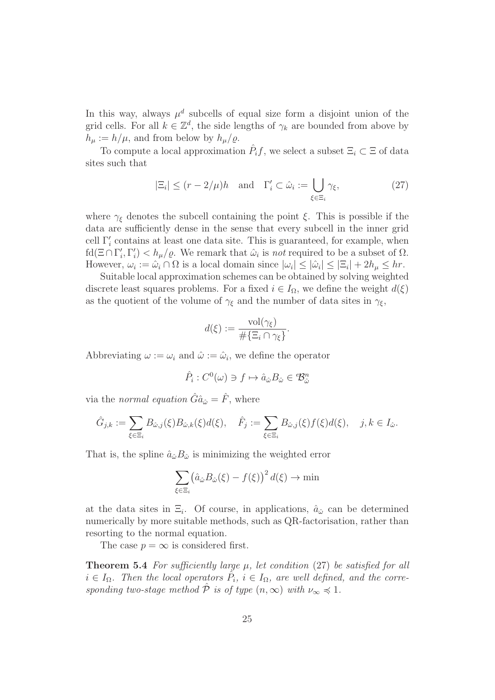In this way, always  $\mu^d$  subcells of equal size form a disjoint union of the grid cells. For all  $k \in \mathbb{Z}^d$ , the side lengths of  $\gamma_k$  are bounded from above by  $h_{\mu} := h/\mu$ , and from below by  $h_{\mu}/\varrho$ .

To compute a local approximation  $\hat{P}_i f$ , we select a subset  $\Xi_i \subset \Xi$  of data sites such that

$$
|\Xi_i| \le (r - 2/\mu)h \quad \text{and} \quad \Gamma'_i \subset \hat{\omega}_i := \bigcup_{\xi \in \Xi_i} \gamma_\xi,\tag{27}
$$

where  $\gamma_{\xi}$  denotes the subcell containing the point  $\xi$ . This is possible if the data are sufficiently dense in the sense that every subcell in the inner grid cell  $\Gamma'_i$  contains at least one data site. This is guaranteed, for example, when  $\text{fd}(\Xi \cap \Gamma_i', \Gamma_i') < h_\mu/\varrho$ . We remark that  $\hat{\omega}_i$  is not required to be a subset of  $\Omega$ . However,  $\omega_i := \hat{\omega}_i \cap \Omega$  is a local domain since  $|\omega_i| \leq |\hat{\omega}_i| \leq |\Xi_i| + 2h_\mu \leq hr$ .

Suitable local approximation schemes can be obtained by solving weighted discrete least squares problems. For a fixed  $i \in I_{\Omega}$ , we define the weight  $d(\xi)$ as the quotient of the volume of  $\gamma_{\xi}$  and the number of data sites in  $\gamma_{\xi}$ ,

$$
d(\xi) := \frac{\mathrm{vol}(\gamma_{\xi})}{\#\{\Xi_i \cap \gamma_{\xi}\}}.
$$

Abbreviating  $\omega := \omega_i$  and  $\hat{\omega} := \hat{\omega}_i$ , we define the operator

$$
\hat{P}_i: C^0(\omega) \ni f \mapsto \hat{a}_{\hat{\omega}} B_{\hat{\omega}} \in {}^e \mathcal{B}_{\hat{\omega}}^n
$$

via the normal equation  $\hat{G}\hat{a}_{\hat{\omega}} = \hat{F}$ , where

$$
\hat{G}_{j,k} := \sum_{\xi \in \Xi_i} B_{\hat{\omega},j}(\xi) B_{\hat{\omega},k}(\xi) d(\xi), \quad \hat{F}_j := \sum_{\xi \in \Xi_i} B_{\hat{\omega},j}(\xi) f(\xi) d(\xi), \quad j,k \in I_{\hat{\omega}}.
$$

That is, the spline  $\hat{a}_{\hat{\omega}}B_{\hat{\omega}}$  is minimizing the weighted error

$$
\sum_{\xi \in \Xi_i} \left( \hat{a}_{\hat{\omega}} B_{\hat{\omega}}(\xi) - f(\xi) \right)^2 d(\xi) \to \min
$$

at the data sites in  $\Xi_i$ . Of course, in applications,  $\hat{a}_{\hat{\omega}}$  can be determined numerically by more suitable methods, such as QR-factorisation, rather than resorting to the normal equation.

The case  $p = \infty$  is considered first.

**Theorem 5.4** For sufficiently large  $\mu$ , let condition (27) be satisfied for all  $i \in I_{\Omega}$ . Then the local operators  $\hat{P}_i$ ,  $i \in I_{\Omega}$ , are well defined, and the corresponding two-stage method  $\hat{\mathcal{P}}$  is of type  $(n,\infty)$  with  $\nu_{\infty} \preccurlyeq 1$ .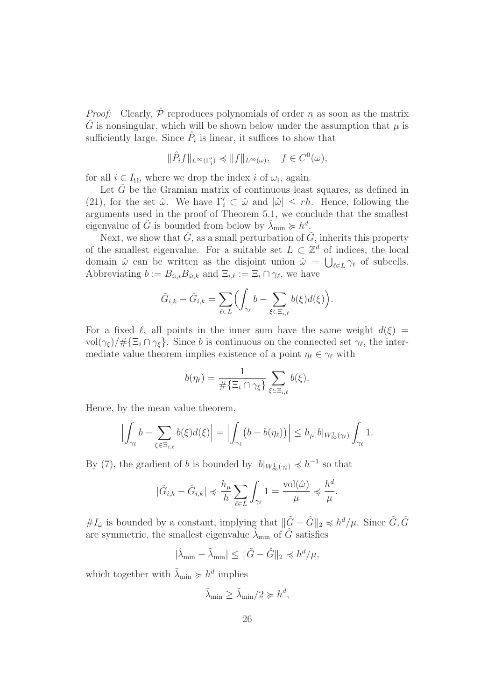*Proof:* Clearly,  $\hat{P}$  reproduces polynomials of order n as soon as the matrix  $\hat{G}$  is nonsingular, which will be shown below under the assumption that  $\mu$  is sufficiently large. Since  $\hat{P}_i$  is linear, it suffices to show that

$$
\|\hat{P}_i f\|_{L^{\infty}(\Gamma'_i)} \preccurlyeq \|f\|_{L^{\infty}(\omega)}, \quad f \in C^0(\omega),
$$

for all  $i \in I_{\Omega}$ , where we drop the index i of  $\omega_i$ , again.

Let  $G$  be the Gramian matrix of continuous least squares, as defined in (21), for the set  $\hat{\omega}$ . We have  $\Gamma'_i \subset \hat{\omega}$  and  $|\hat{\omega}| \le rh$ . Hence, following the arguments used in the proof of Theorem 5.1, we conclude that the smallest eigenvalue of  $\tilde{G}$  is bounded from below by  $\tilde{\lambda}_{\min} \succcurlyeq h^d$ .

Next, we show that  $\hat{G}$ , as a small perturbation of  $\tilde{G}$ , inherits this property of the smallest eigenvalue. For a suitable set  $L \subset \mathbb{Z}^d$  of indices, the local domain  $\hat{\omega}$  can be written as the disjoint union  $\hat{\omega} = \bigcup_{\ell \in L} \gamma_{\ell}$  of subcells. Abbreviating  $b := B_{\hat{\omega},i} B_{\hat{\omega},k}$  and  $\Xi_{i,\ell} := \Xi_i \cap \gamma_{\ell}$ , we have

$$
\tilde{G}_{i,k} - \hat{G}_{i,k} = \sum_{\ell \in L} \Bigl( \int_{\gamma_\ell} b - \sum_{\xi \in \Xi_{i,\ell}} b(\xi) d(\xi) \Bigr).
$$

For a fixed  $\ell$ , all points in the inner sum have the same weight  $d(\xi)$  =  $vol(\gamma_{\xi})/\#\{\Xi_i \cap \gamma_{\xi}\}\.$  Since b is continuous on the connected set  $\gamma_{\ell}$ , the intermediate value theorem implies existence of a point  $\eta_{\ell} \in \gamma_{\ell}$  with

$$
b(\eta_{\ell}) = \frac{1}{\#\{\Xi_i \cap \gamma_{\xi}\}} \sum_{\xi \in \Xi_{i,\ell}} b(\xi).
$$

Hence, by the mean value theorem,

$$
\Bigl|\int_{\gamma_{\ell}} b - \sum_{\xi \in \Xi_{i,\ell}} b(\xi) d(\xi) \Bigr| = \Bigl|\int_{\gamma_{\ell}} \bigl( b - b(\eta_{\ell}) \bigr) \Bigr| \leq h_{\mu} |b|_{W^1_{\infty}(\gamma_{\ell})} \int_{\gamma_{\ell}} 1.
$$

By (7), the gradient of b is bounded by  $|b|_{W^1_{\infty}(\gamma_{\ell})} \preccurlyeq h^{-1}$  so that

$$
|\tilde{G}_{i,k} - \hat{G}_{i,k}| \preccurlyeq \frac{h_{\mu}}{h} \sum_{\ell \in L} \int_{\gamma_{\ell}} 1 = \frac{\text{vol}(\hat{\omega})}{\mu} \preccurlyeq \frac{h^d}{\mu}.
$$

 $#I_{\hat{\omega}}$  is bounded by a constant, implying that  $\|\tilde{G} - \hat{G}\|_2 \preccurlyeq h^d/\mu$ . Since  $\tilde{G}, \hat{G}$ are symmetric, the smallest eigenvalue  $\lambda_{\min}$  of G satisfies

$$
|\hat{\lambda}_{\min} - \tilde{\lambda}_{\min}| \le ||\tilde{G} - \hat{G}||_2 \preccurlyeq h^d/\mu,
$$

which together with  $\tilde{\lambda}_{\min} \succcurlyeq h^d$  implies

$$
\hat{\lambda}_{\min} \ge \tilde{\lambda}_{\min}/2 \succcurlyeq h^d,
$$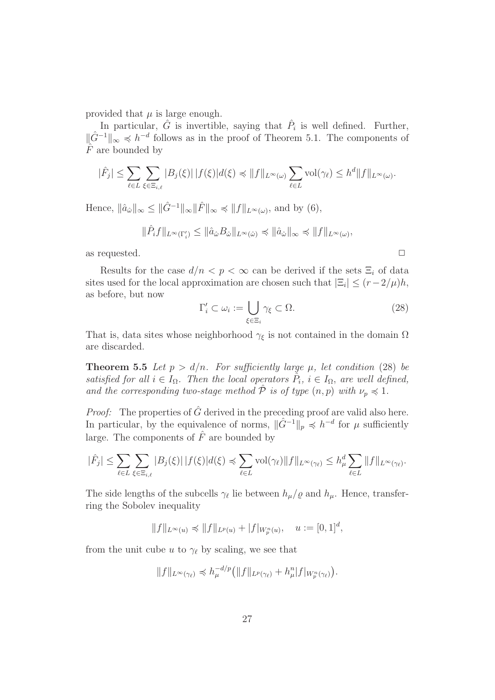provided that  $\mu$  is large enough.

In particular,  $\hat{G}$  is invertible, saying that  $\hat{P}_i$  is well defined. Further,  $\|\hat{G}^{-1}\|_{\infty}$   $\preccurlyeq$  h<sup>-d</sup> follows as in the proof of Theorem 5.1. The components of  $\hat{F}$  are bounded by

$$
|\hat{F}_j| \leq \sum_{\ell \in L} \sum_{\xi \in \Xi_{i,\ell}} |B_j(\xi)| |f(\xi)| d(\xi) \preccurlyeq \|f\|_{L^{\infty}(\omega)} \sum_{\ell \in L} \text{vol}(\gamma_{\ell}) \leq h^d \|f\|_{L^{\infty}(\omega)}.
$$

Hence,  $\|\hat{a}_{\hat{\omega}}\|_{\infty} \leq \|\hat{G}^{-1}\|_{\infty} \|\hat{F}\|_{\infty} \preccurlyeq \|f\|_{L^{\infty}(\omega)}$ , and by  $(6)$ ,

$$
\|\hat{P}_i f\|_{L^{\infty}(\Gamma'_i)} \le \|\hat{a}_{\hat{\omega}} B_{\hat{\omega}}\|_{L^{\infty}(\hat{\omega})} \preccurlyeq \|\hat{a}_{\hat{\omega}}\|_{\infty} \preccurlyeq \|f\|_{L^{\infty}(\omega)},
$$

as requested.  $\Box$ 

Results for the case  $d/n < p < \infty$  can be derived if the sets  $\Xi_i$  of data sites used for the local approximation are chosen such that  $|\Xi_i| \le (r-2/\mu)h$ , as before, but now

$$
\Gamma_i' \subset \omega_i := \bigcup_{\xi \in \Xi_i} \gamma_{\xi} \subset \Omega. \tag{28}
$$

That is, data sites whose neighborhood  $\gamma_{\xi}$  is not contained in the domain  $\Omega$ are discarded.

**Theorem 5.5** Let  $p > d/n$ . For sufficiently large  $\mu$ , let condition (28) be satisfied for all  $i \in I_{\Omega}$ . Then the local operators  $\hat{P}_i$ ,  $i \in I_{\Omega}$ , are well defined, and the corresponding two-stage method  $\hat{\mathcal{P}}$  is of type  $(n, p)$  with  $\nu_p \preccurlyeq 1$ .

*Proof:* The properties of  $\hat{G}$  derived in the preceding proof are valid also here. In particular, by the equivalence of norms,  $\|\hat{G}^{-1}\|_p \preccurlyeq h^{-d}$  for  $\mu$  sufficiently large. The components of  $\hat{F}$  are bounded by

$$
|\hat{F}_j| \leq \sum_{\ell \in L} \sum_{\xi \in \Xi_{i,\ell}} |B_j(\xi)| |f(\xi)| d(\xi) \preccurlyeq \sum_{\ell \in L} \text{vol}(\gamma_{\ell}) \|f\|_{L^{\infty}(\gamma_{\ell})} \leq h_{\mu}^d \sum_{\ell \in L} \|f\|_{L^{\infty}(\gamma_{\ell})}.
$$

The side lengths of the subcells  $\gamma_{\ell}$  lie between  $h_{\mu}/\varrho$  and  $h_{\mu}$ . Hence, transferring the Sobolev inequality

$$
||f||_{L^{\infty}(u)} \preccurlyeq ||f||_{L^{p}(u)} + |f|_{W_{p}^{n}(u)}, \quad u := [0,1]^{d},
$$

from the unit cube u to  $\gamma_{\ell}$  by scaling, we see that

$$
||f||_{L^{\infty}(\gamma_{\ell})}\preccurlyeq h_{\mu}^{-d/p}\big(||f||_{L^{p}(\gamma_{\ell})}+h_{\mu}^{n}|f|_{W_{p}^{n}(\gamma_{\ell})}\big).
$$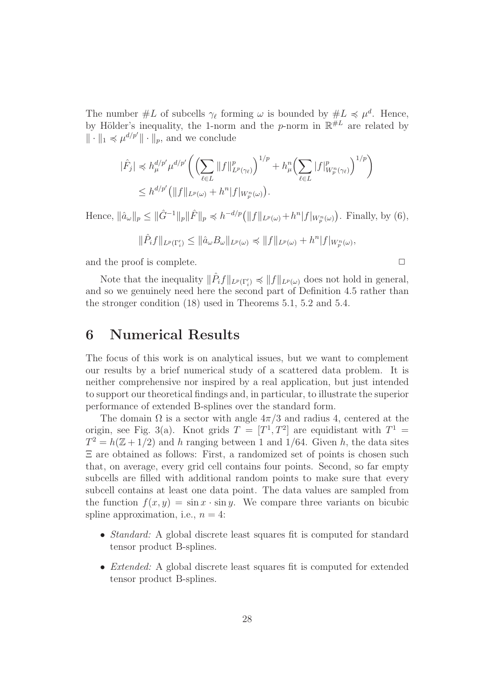The number  $\#L$  of subcells  $\gamma_{\ell}$  forming  $\omega$  is bounded by  $\#L \preccurlyeq \mu^{d}$ . Hence, by Hölder's inequality, the 1-norm and the p-norm in  $\mathbb{R}^{\#L}$  are related by  $\|\cdot\|_1 \preccurlyeq \mu^{d/p'} \|\cdot\|_p$ , and we conclude

$$
\begin{split} |\hat{F}_j| &\leq h_\mu^{d/p'} \mu^{d/p'} \bigg( \Big( \sum_{\ell \in L} \|f\|_{L^p(\gamma_\ell)}^p \Big)^{1/p} + h_\mu^n \Big( \sum_{\ell \in L} |f|_{W_p^n(\gamma_\ell)}^p \Big)^{1/p} \bigg) \\ &\leq h^{d/p'} \big( \|f\|_{L^p(\omega)} + h^n |f|_{W_p^n(\omega)} \big). \end{split}
$$

Hence,  $\|\hat{a}_{\omega}\|_p \leq \|\hat{G}^{-1}\|_p \|\hat{F}\|_p \preccurlyeq h^{-d/p} \big(\|f\|_{L^p(\omega)} + h^n |f|_{W_p^n(\omega)}\big)$ . Finally, by (6),

$$
\|\hat{P}_i f\|_{L^p(\Gamma'_i)} \le \|\hat{a}_{\omega} B_{\omega}\|_{L^p(\omega)} \preccurlyeq \|f\|_{L^p(\omega)} + h^n |f|_{W_p^n(\omega)},
$$

and the proof is complete.  $\Box$ 

Note that the inequality  $\|\hat{P}_i f\|_{L^p(\Gamma'_i)} \preccurlyeq \|f\|_{L^p(\omega)}$  does not hold in general, and so we genuinely need here the second part of Definition 4.5 rather than the stronger condition (18) used in Theorems 5.1, 5.2 and 5.4.

### 6 Numerical Results

The focus of this work is on analytical issues, but we want to complement our results by a brief numerical study of a scattered data problem. It is neither comprehensive nor inspired by a real application, but just intended to support our theoretical findings and, in particular, to illustrate the superior performance of extended B-splines over the standard form.

The domain  $\Omega$  is a sector with angle  $4\pi/3$  and radius 4, centered at the origin, see Fig. 3(a). Knot grids  $T = [T^1, T^2]$  are equidistant with  $T^1 =$  $T^2 = h(\mathbb{Z} + 1/2)$  and h ranging between 1 and 1/64. Given h, the data sites Ξ are obtained as follows: First, a randomized set of points is chosen such that, on average, every grid cell contains four points. Second, so far empty subcells are filled with additional random points to make sure that every subcell contains at least one data point. The data values are sampled from the function  $f(x, y) = \sin x \cdot \sin y$ . We compare three variants on bicubic spline approximation, i.e.,  $n = 4$ :

- *Standard:* A global discrete least squares fit is computed for standard tensor product B-splines.
- *Extended:* A global discrete least squares fit is computed for extended tensor product B-splines.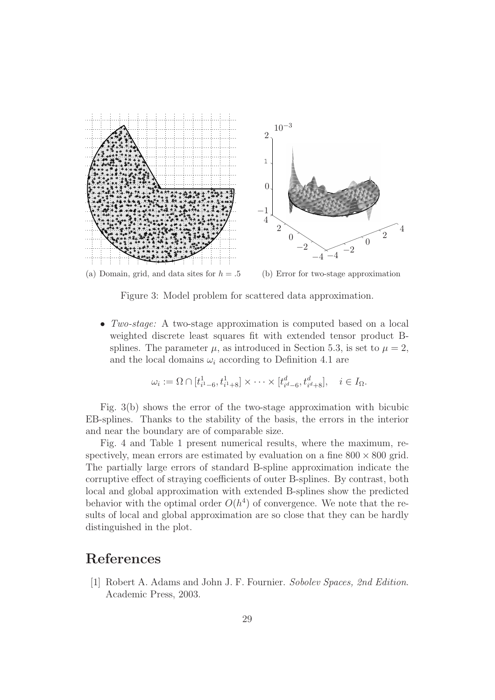

(a) Domain, grid, and data sites for  $h = .5$ (b) Error for two-stage approximation

Figure 3: Model problem for scattered data approximation.

• Two-stage: A two-stage approximation is computed based on a local weighted discrete least squares fit with extended tensor product Bsplines. The parameter  $\mu$ , as introduced in Section 5.3, is set to  $\mu = 2$ , and the local domains  $\omega_i$  according to Definition 4.1 are

$$
\omega_i := \Omega \cap [t_{i^1-6}^1, t_{i^1+8}^1] \times \cdots \times [t_{i^d-6}^d, t_{i^d+8}^d], \quad i \in I_{\Omega}.
$$

Fig. 3(b) shows the error of the two-stage approximation with bicubic EB-splines. Thanks to the stability of the basis, the errors in the interior and near the boundary are of comparable size.

Fig. 4 and Table 1 present numerical results, where the maximum, respectively, mean errors are estimated by evaluation on a fine  $800 \times 800$  grid. The partially large errors of standard B-spline approximation indicate the corruptive effect of straying coefficients of outer B-splines. By contrast, both local and global approximation with extended B-splines show the predicted behavior with the optimal order  $O(h^4)$  of convergence. We note that the results of local and global approximation are so close that they can be hardly distinguished in the plot.

#### References

[1] Robert A. Adams and John J. F. Fournier. Sobolev Spaces, 2nd Edition. Academic Press, 2003.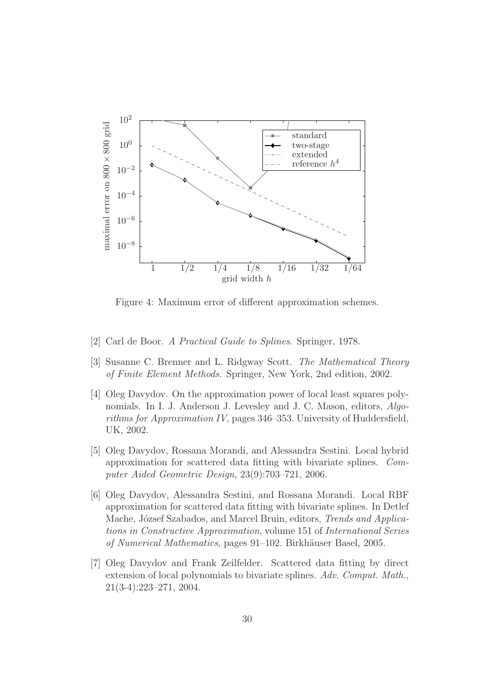

Figure 4: Maximum error of different approximation schemes.

- [2] Carl de Boor. A Practical Guide to Splines. Springer, 1978.
- [3] Susanne C. Brenner and L. Ridgway Scott. The Mathematical Theory of Finite Element Methods. Springer, New York, 2nd edition, 2002.
- [4] Oleg Davydov. On the approximation power of local least squares polynomials. In I. J. Anderson J. Levesley and J. C. Mason, editors, Algorithms for Approximation IV, pages 346–353. University of Huddersfield, UK, 2002.
- [5] Oleg Davydov, Rossana Morandi, and Alessandra Sestini. Local hybrid approximation for scattered data fitting with bivariate splines. Computer Aided Geometric Design, 23(9):703–721, 2006.
- [6] Oleg Davydov, Alessandra Sestini, and Rossana Morandi. Local RBF approximation for scattered data fitting with bivariate splines. In Detlef Mache, József Szabados, and Marcel Bruin, editors, *Trends and Applica*tions in Constructive Approximation, volume 151 of International Series of Numerical Mathematics, pages 91–102. Birkhäuser Basel, 2005.
- [7] Oleg Davydov and Frank Zeilfelder. Scattered data fitting by direct extension of local polynomials to bivariate splines. Adv. Comput. Math., 21(3-4):223–271, 2004.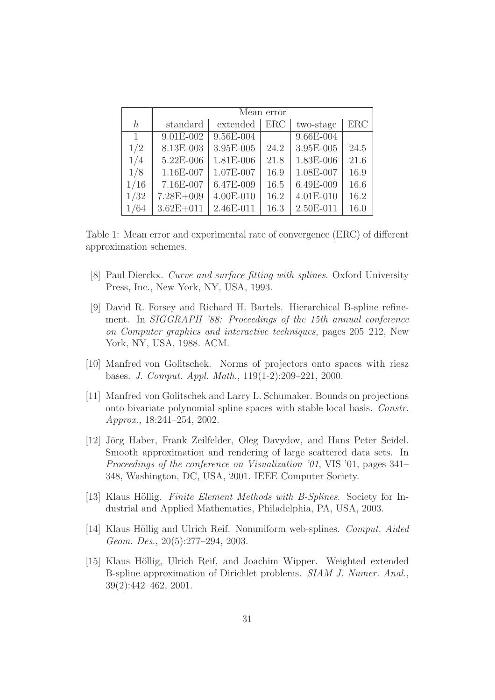|         | Mean error    |           |            |           |      |
|---------|---------------|-----------|------------|-----------|------|
| $\hbar$ | standard      | extended  | <b>ERC</b> | two-stage | ERC  |
| 1       | $9.01E-002$   | 9.56E-004 |            | 9.66E-004 |      |
| 1/2     | 8.13E-003     | 3.95E-005 | 24.2       | 3.95E-005 | 24.5 |
| 1/4     | 5.22E-006     | 1.81E-006 | 21.8       | 1.83E-006 | 21.6 |
| 1/8     | 1.16E-007     | 1.07E-007 | 16.9       | 1.08E-007 | 16.9 |
| 1/16    | 7.16E-007     | 6.47E-009 | 16.5       | 6.49E-009 | 16.6 |
| 1/32    | $7.28E + 009$ | 4.00E-010 | 16.2       | 4.01E-010 | 16.2 |
| 1/64    | $3.62E + 011$ | 2.46E-011 | 16.3       | 2.50E-011 | 16.0 |

Table 1: Mean error and experimental rate of convergence (ERC) of different approximation schemes.

- [8] Paul Dierckx. Curve and surface fitting with splines. Oxford University Press, Inc., New York, NY, USA, 1993.
- [9] David R. Forsey and Richard H. Bartels. Hierarchical B-spline refinement. In SIGGRAPH '88: Proceedings of the 15th annual conference on Computer graphics and interactive techniques, pages 205–212, New York, NY, USA, 1988. ACM.
- [10] Manfred von Golitschek. Norms of projectors onto spaces with riesz bases. J. Comput. Appl. Math., 119(1-2):209–221, 2000.
- [11] Manfred von Golitschek and Larry L. Schumaker. Bounds on projections onto bivariate polynomial spline spaces with stable local basis. Constr. Approx., 18:241–254, 2002.
- [12] Jörg Haber, Frank Zeilfelder, Oleg Davydov, and Hans Peter Seidel. Smooth approximation and rendering of large scattered data sets. In Proceedings of the conference on Visualization '01, VIS '01, pages 341– 348, Washington, DC, USA, 2001. IEEE Computer Society.
- [13] Klaus Höllig. Finite Element Methods with B-Splines. Society for Industrial and Applied Mathematics, Philadelphia, PA, USA, 2003.
- [14] Klaus Höllig and Ulrich Reif. Nonuniform web-splines. *Comput. Aided* Geom. Des., 20(5):277–294, 2003.
- [15] Klaus Höllig, Ulrich Reif, and Joachim Wipper. Weighted extended B-spline approximation of Dirichlet problems. SIAM J. Numer. Anal., 39(2):442–462, 2001.